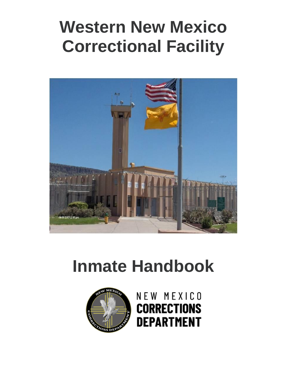# **Western New Mexico Correctional Facility**



# **Inmate Handbook**



NEW MEXICO **CORRECTIONS DEPARTMENT**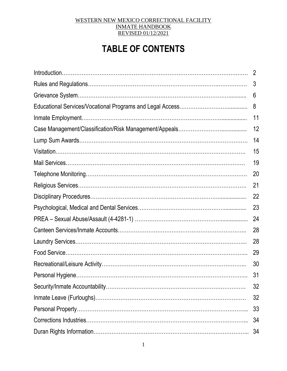# **TABLE OF CONTENTS**

| $\overline{2}$ |
|----------------|
| 3              |
| 6              |
| 8              |
| 11             |
| 12             |
| 14             |
| 15             |
| 19             |
| 20             |
| 21             |
| 22             |
| 23             |
| 24             |
| 28             |
| 28             |
| 29             |
| 30             |
| 31             |
| 32             |
| 32             |
| 33             |
| 34             |
| 34             |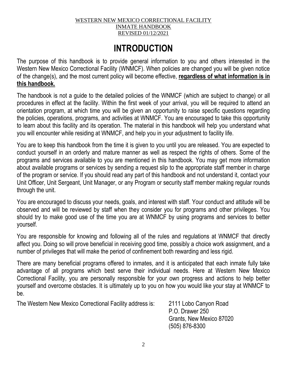# **INTRODUCTION**

The purpose of this handbook is to provide general information to you and others interested in the Western New Mexico Correctional Facility (WNMCF). When policies are changed you will be given notice of the change(s), and the most current policy will become effective, **regardless of what information is in this handbook.**

The handbook is not a guide to the detailed policies of the WNMCF (which are subject to change) or all procedures in effect at the facility. Within the first week of your arrival, you will be required to attend an orientation program, at which time you will be given an opportunity to raise specific questions regarding the policies, operations, programs, and activities at WNMCF. You are encouraged to take this opportunity to learn about this facility and its operation. The material in this handbook will help you understand what you will encounter while residing at WNMCF, and help you in your adjustment to facility life.

You are to keep this handbook from the time it is given to you until you are released. You are expected to conduct yourself in an orderly and mature manner as well as respect the rights of others. Some of the programs and services available to you are mentioned in this handbook. You may get more information about available programs or services by sending a request slip to the appropriate staff member in charge of the program or service. If you should read any part of this handbook and not understand it, contact your Unit Officer, Unit Sergeant, Unit Manager, or any Program or security staff member making regular rounds through the unit.

You are encouraged to discuss your needs, goals, and interest with staff. Your conduct and attitude will be observed and will be reviewed by staff when they consider you for programs and other privileges. You should try to make good use of the time you are at WNMCF by using programs and services to better yourself.

You are responsible for knowing and following all of the rules and regulations at WNMCF that directly affect you. Doing so will prove beneficial in receiving good time, possibly a choice work assignment, and a number of privileges that will make the period of confinement both rewarding and less rigid.

There are many beneficial programs offered to inmates, and it is anticipated that each inmate fully take advantage of all programs which best serve their individual needs. Here at Western New Mexico Correctional Facility, you are personally responsible for your own progress and actions to help better yourself and overcome obstacles. It is ultimately up to you on how you would like your stay at WNMCF to be.

The Western New Mexico Correctional Facility address is: 2111 Lobo Canyon Road

P.O. Drawer 250 Grants, New Mexico 87020 (505) 876-8300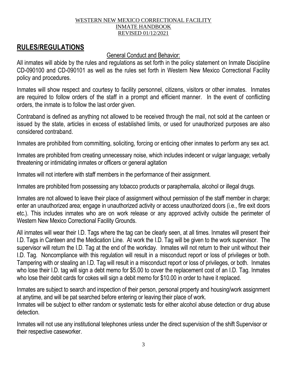# **RULES/REGULATIONS**

# General Conduct and Behavior:

All inmates will abide by the rules and regulations as set forth in the policy statement on Inmate Discipline CD-090100 and CD-090101 as well as the rules set forth in Western New Mexico Correctional Facility policy and procedures.

Inmates will show respect and courtesy to facility personnel, citizens, visitors or other inmates. Inmates are required to follow orders of the staff in a prompt and efficient manner. In the event of conflicting orders, the inmate is to follow the last order given.

Contraband is defined as anything not allowed to be received through the mail, not sold at the canteen or issued by the state, articles in excess of established limits, or used for unauthorized purposes are also considered contraband.

Inmates are prohibited from committing, soliciting, forcing or enticing other inmates to perform any sex act.

Inmates are prohibited from creating unnecessary noise, which includes indecent or vulgar language; verbally threatening or intimidating inmates or officers or general agitation

Inmates will not interfere with staff members in the performance of their assignment.

Inmates are prohibited from possessing any tobacco products or paraphernalia, alcohol or illegal drugs.

Inmates are not allowed to leave their place of assignment without permission of the staff member in charge; enter an unauthorized area; engage in unauthorized activity or access unauthorized doors (i.e., fire exit doors etc.). This includes inmates who are on work release or any approved activity outside the perimeter of Western New Mexico Correctional Facility Grounds.

All inmates will wear their I.D. Tags where the tag can be clearly seen, at all times. Inmates will present their I.D. Tags in Canteen and the Medication Line. At work the I.D. Tag will be given to the work supervisor. The supervisor will return the I.D. Tag at the end of the workday. Inmates will not return to their unit without their I.D. Tag. Noncompliance with this regulation will result in a misconduct report or loss of privileges or both. Tampering with or stealing an I.D. Tag will result in a misconduct report or loss of privileges, or both. Inmates who lose their I.D. tag will sign a debt memo for \$5.00 to cover the replacement cost of an I.D. Tag. Inmates who lose their debit cards for cokes will sign a debit memo for \$10.00 in order to have it replaced.

Inmates are subject to search and inspection of their person, personal property and housing/work assignment at anytime, and will be pat searched before entering or leaving their place of work.

Inmates will be subject to either random or systematic tests for either alcohol abuse detection or drug abuse detection.

Inmates will not use any institutional telephones unless under the direct supervision of the shift Supervisor or their respective caseworker.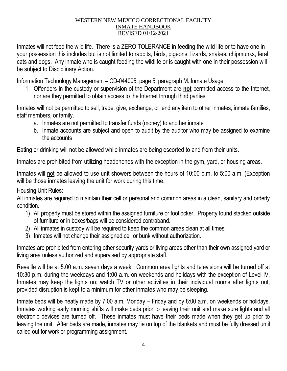Inmates will not feed the wild life. There is a ZERO TOLERANCE in feeding the wild life or to have one in your possession this includes but is not limited to rabbits, birds, pigeons, lizards, snakes, chipmunks, feral cats and dogs. Any inmate who is caught feeding the wildlife or is caught with one in their possession will be subject to Disciplinary Action.

Information Technology Management – CD-044005, page 5, paragraph M. Inmate Usage:

1. Offenders in the custody or supervision of the Department are **not** permitted access to the Internet, nor are they permitted to obtain access to the Internet through third parties.

Inmates will not be permitted to sell, trade, give, exchange, or lend any item to other inmates, inmate families, staff members, or family.

- a. Inmates are not permitted to transfer funds (money) to another inmate
- b. Inmate accounts are subject and open to audit by the auditor who may be assigned to examine the accounts

Eating or drinking will not be allowed while inmates are being escorted to and from their units.

Inmates are prohibited from utilizing headphones with the exception in the gym, yard, or housing areas.

Inmates will not be allowed to use unit showers between the hours of 10:00 p.m. to 5:00 a.m. (Exception will be those inmates leaving the unit for work during this time.

# Housing Unit Rules:

All inmates are required to maintain their cell or personal and common areas in a clean, sanitary and orderly condition.

- 1) All property must be stored within the assigned furniture or footlocker. Property found stacked outside of furniture or in boxes/bags will be considered contraband.
- 2) All inmates in custody will be required to keep the common areas clean at all times.
- 3) Inmates will not change their assigned cell or bunk without authorization.

Inmates are prohibited from entering other security yards or living areas other than their own assigned yard or living area unless authorized and supervised by appropriate staff.

Reveille will be at 5:00 a.m. seven days a week. Common area lights and televisions will be turned off at 10:30 p.m. during the weekdays and 1:00 a.m. on weekends and holidays with the exception of Level IV. Inmates may keep the lights on; watch TV or other activities in their individual rooms after lights out, provided disruption is kept to a minimum for other inmates who may be sleeping.

Inmate beds will be neatly made by 7:00 a.m. Monday – Friday and by 8:00 a.m. on weekends or holidays. Inmates working early morning shifts will make beds prior to leaving their unit and make sure lights and all electronic devices are turned off. These inmates must have their beds made when they get up prior to leaving the unit. After beds are made, inmates may lie on top of the blankets and must be fully dressed until called out for work or programming assignment.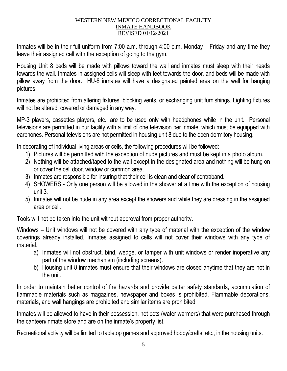Inmates will be in their full uniform from 7:00 a.m. through 4:00 p.m. Monday – Friday and any time they leave their assigned cell with the exception of going to the gym.

Housing Unit 8 beds will be made with pillows toward the wall and inmates must sleep with their heads towards the wall. Inmates in assigned cells will sleep with feet towards the door, and beds will be made with pillow away from the door. HU-8 inmates will have a designated painted area on the wall for hanging pictures.

Inmates are prohibited from altering fixtures, blocking vents, or exchanging unit furnishings. Lighting fixtures will not be altered, covered or damaged in any way.

MP-3 players, cassettes players, etc., are to be used only with headphones while in the unit. Personal televisions are permitted in our facility with a limit of one television per inmate, which must be equipped with earphones. Personal televisions are not permitted in housing unit 8 due to the open dormitory housing.

In decorating of individual living areas or cells, the following procedures will be followed:

- 1) Pictures will be permitted with the exception of nude pictures and must be kept in a photo album.
- 2) Nothing will be attached/taped to the wall except in the designated area and nothing will be hung on or cover the cell door, window or common area.
- 3) Inmates are responsible for insuring that their cell is clean and clear of contraband.
- 4) SHOWERS Only one person will be allowed in the shower at a time with the exception of housing unit 3.
- 5) Inmates will not be nude in any area except the showers and while they are dressing in the assigned area or cell.

Tools will not be taken into the unit without approval from proper authority.

Windows – Unit windows will not be covered with any type of material with the exception of the window coverings already installed. Inmates assigned to cells will not cover their windows with any type of material.

- a) Inmates will not obstruct, bind, wedge, or tamper with unit windows or render inoperative any part of the window mechanism (including screens).
- b) Housing unit 8 inmates must ensure that their windows are closed anytime that they are not in the unit.

In order to maintain better control of fire hazards and provide better safety standards, accumulation of flammable materials such as magazines, newspaper and boxes is prohibited. Flammable decorations, materials, and wall hangings are prohibited and similar items are prohibited

Inmates will be allowed to have in their possession, hot pots (water warmers) that were purchased through the canteen/inmate store and are on the inmate's property list.

Recreational activity will be limited to tabletop games and approved hobby/crafts, etc., in the housing units.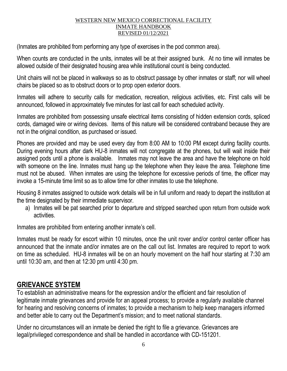(Inmates are prohibited from performing any type of exercises in the pod common area).

When counts are conducted in the units, inmates will be at their assigned bunk. At no time will inmates be allowed outside of their designated housing area while institutional count is being conducted.

Unit chairs will not be placed in walkways so as to obstruct passage by other inmates or staff; nor will wheel chairs be placed so as to obstruct doors or to prop open exterior doors.

Inmates will adhere to security calls for medication, recreation, religious activities, etc. First calls will be announced, followed in approximately five minutes for last call for each scheduled activity.

Inmates are prohibited from possessing unsafe electrical items consisting of hidden extension cords, spliced cords, damaged wire or wiring devices. Items of this nature will be considered contraband because they are not in the original condition, as purchased or issued.

Phones are provided and may be used every day from 8:00 AM to 10:00 PM except during facility counts. During evening hours after dark HU-8 inmates will not congregate at the phones, but will wait inside their assigned pods until a phone is available. Inmates may not leave the area and have the telephone on hold with someone on the line. Inmates must hang up the telephone when they leave the area. Telephone time must not be abused. When inmates are using the telephone for excessive periods of time, the officer may invoke a 15-minute time limit so as to allow time for other inmates to use the telephone.

Housing 8 inmates assigned to outside work details will be in full uniform and ready to depart the institution at the time designated by their immediate supervisor.

a) Inmates will be pat searched prior to departure and stripped searched upon return from outside work activities.

Inmates are prohibited from entering another inmate's cell.

Inmates must be ready for escort within 10 minutes, once the unit rover and/or control center officer has announced that the inmate and/or inmates are on the call out list. Inmates are required to report to work on time as scheduled. HU-8 inmates will be on an hourly movement on the half hour starting at 7:30 am until 10:30 am, and then at 12:30 pm until 4:30 pm.

# **GRIEVANCE SYSTEM**

To establish an administrative means for the expression and/or the efficient and fair resolution of legitimate inmate grievances and provide for an appeal process; to provide a regularly available channel for hearing and resolving concerns of inmates; to provide a mechanism to help keep managers informed and better able to carry out the Department's mission; and to meet national standards.

Under no circumstances will an inmate be denied the right to file a grievance. Grievances are legal/privileged correspondence and shall be handled in accordance with CD-151201.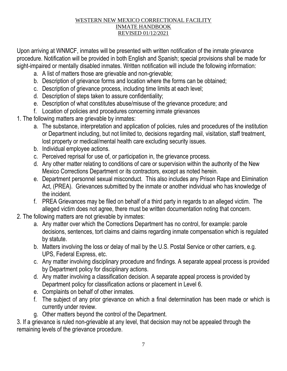Upon arriving at WNMCF, inmates will be presented with written notification of the inmate grievance procedure. Notification will be provided in both English and Spanish; special provisions shall be made for sight-impaired or mentally disabled inmates. Written notification will include the following information:

- a. A list of matters those are grievable and non-grievable;
- b. Description of grievance forms and location where the forms can be obtained;
- c. Description of grievance process, including time limits at each level;
- d. Description of steps taken to assure confidentiality;
- e. Description of what constitutes abuse/misuse of the grievance procedure; and
- f. Location of policies and procedures concerning inmate grievances
- 1. The following matters are grievable by inmates:
	- a. The substance, interpretation and application of policies, rules and procedures of the institution or Department including, but not limited to, decisions regarding mail, visitation, staff treatment, lost property or medical/mental health care excluding security issues.
	- b. Individual employee actions.
	- c. Perceived reprisal for use of, or participation in, the grievance process.
	- d. Any other matter relating to conditions of care or supervision within the authority of the New Mexico Corrections Department or its contractors, except as noted herein.
	- e. Department personnel sexual misconduct. This also includes any Prison Rape and Elimination Act, (PREA). Grievances submitted by the inmate or another individual who has knowledge of the incident.
	- f. PREA Grievances may be filed on behalf of a third party in regards to an alleged victim. The alleged victim does not agree, there must be written documentation noting that concern.
- 2. The following matters are not grievable by inmates:
	- a. Any matter over which the Corrections Department has no control, for example: parole decisions, sentences, tort claims and claims regarding inmate compensation which is regulated by statute.
	- b. Matters involving the loss or delay of mail by the U.S. Postal Service or other carriers, e.g. UPS, Federal Express, etc.
	- c. Any matter involving disciplinary procedure and findings. A separate appeal process is provided by Department policy for disciplinary actions.
	- d. Any matter involving a classification decision. A separate appeal process is provided by Department policy for classification actions or placement in Level 6.
	- e. Complaints on behalf of other inmates.
	- f. The subject of any prior grievance on which a final determination has been made or which is currently under review.
	- g. Other matters beyond the control of the Department.

3. If a grievance is ruled non-grievable at any level, that decision may not be appealed through the remaining levels of the grievance procedure.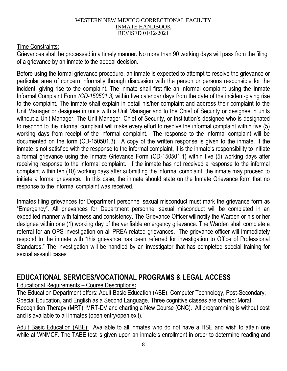## Time Constraints:

Grievances shall be processed in a timely manner. No more than 90 working days will pass from the filing of a grievance by an inmate to the appeal decision.

Before using the formal grievance procedure, an inmate is expected to attempt to resolve the grievance or particular area of concern informally through discussion with the person or persons responsible for the incident, giving rise to the complaint. The inmate shall first file an informal complaint using the Inmate Informal Complaint Form *(CD-150501.3)* within five calendar days from the date of the incident-giving rise to the complaint. The inmate shall explain in detail his/her complaint and address their complaint to the Unit Manager or designee in units with a Unit Manager and to the Chief of Security or designee in units without a Unit Manager. The Unit Manager, Chief of Security, or Institution's designee who is designated to respond to the informal complaint will make every effort to resolve the informal complaint within five (5) working days from receipt of the informal complaint. The response to the informal complaint will be documented on the form (CD-150501.3). A copy of the written response is given to the inmate. If the inmate is not satisfied with the response to the informal complaint, it is the inmate's responsibility to initiate a formal grievance using the Inmate Grievance Form (CD-150501.1) within five (5) working days after receiving response to the informal complaint. If the inmate has not received a response to the informal complaint within ten (10) working days after submitting the informal complaint, the inmate may proceed to initiate a formal grievance. In this case, the inmate should state on the Inmate Grievance form that no response to the informal complaint was received.

Inmates filing grievances for Department personnel sexual misconduct must mark the grievance form as "Emergency". All grievances for Department personnel sexual misconduct will be completed in an expedited manner with fairness and consistency. The Grievance Officer willnotify the Warden or his or her designee within one (1) working day of the verifiable emergency grievance. The Warden shall complete a referral for an OPS investigation on all PREA related grievances. The grievance officer will immediately respond to the inmate with "this grievance has been referred for investigation to Office of Professional Standards." The investigation will be handled by an investigator that has completed special training for sexual assault cases

# **EDUCATIONAL SERVICES/VOCATIONAL PROGRAMS & LEGAL ACCESS**

Educational Requirements – Course Descriptions**:**

The Education Department offers: Adult Basic Education (ABE), Computer Technology, Post-Secondary, Special Education, and English as a Second Language. Three cognitive classes are offered: Moral Recognition Therapy (MRT), MRT-DV and charting a New Course (CNC). All programming is without cost and is available to all inmates (open entry/open exit).

Adult Basic Education (ABE): Available to all inmates who do not have a HSE and wish to attain one while at WNMCF. The TABE test is given upon an inmate's enrollment in order to determine reading and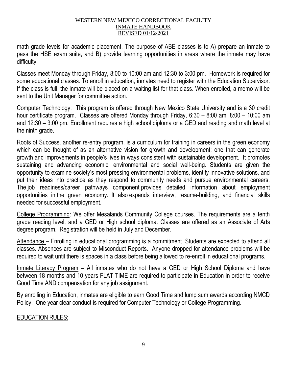math grade levels for academic placement. The purpose of ABE classes is to A) prepare an inmate to pass the HSE exam suite, and B) provide learning opportunities in areas where the inmate may have difficulty.

Classes meet Monday through Friday, 8:00 to 10:00 am and 12:30 to 3:00 pm. Homework is required for some educational classes. To enroll in education, inmates need to register with the Education Supervisor. If the class is full, the inmate will be placed on a waiting list for that class. When enrolled, a memo will be sent to the Unit Manager for committee action.

Computer Technology: This program is offered through New Mexico State University and is a 30 credit hour certificate program. Classes are offered Monday through Friday, 6:30 – 8:00 am, 8:00 – 10:00 am and 12:30 – 3:00 pm. Enrollment requires a high school diploma or a GED and reading and math level at the ninth grade.

Roots of Success, another re-entry program, is a curriculum for training in careers in the green economy which can be thought of as an alternative vision for growth and development; one that can generate growth and improvements in people's lives in ways consistent with sustainable development. It promotes sustaining and advancing economic, environmental and social well-being. Students are given the opportunity to examine society's most pressing environmental problems, identify innovative solutions, and put their ideas into practice as they respond to community needs and pursue environmental careers. The job readiness/career pathways component provides detailed information about employment opportunities in the green economy. It also expands interview, resume-building, and financial skills needed for successful employment.

College Programming: We offer Mesalands Community College courses. The requirements are a tenth grade reading level, and a GED or High school diploma. Classes are offered as an Associate of Arts degree program. Registration will be held in July and December.

Attendance – Enrolling in educational programming is a commitment. Students are expected to attend all classes. Absences are subject to Misconduct Reports. Anyone dropped for attendance problems will be required to wait until there is spaces in a class before being allowed to re-enroll in educational programs.

Inmate Literacy Program – All inmates who do not have a GED or High School Diploma and have between 18 months and 10 years FLAT TIME are required to participate in Education in order to receive Good Time AND compensation for any job assignment.

By enrolling in Education, inmates are eligible to earn Good Time and lump sum awards according NMCD Policy. One year clear conduct is required for Computer Technology or College Programming.

# EDUCATION RULES: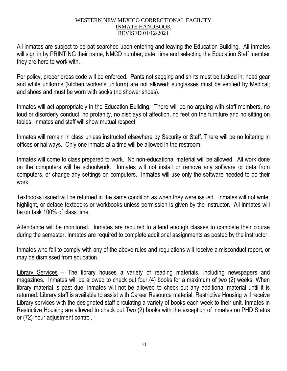All inmates are subject to be pat-searched upon entering and leaving the Education Building. All inmates will sign in by PRINTING their name, NMCD number, date, time and selecting the Education Staff member they are here to work with.

Per policy, proper dress code will be enforced. Pants not sagging and shirts must be tucked in; head gear and white uniforms (kitchen worker's uniform) are not allowed; sunglasses must be verified by Medical; and shoes and must be worn with socks (no shower shoes).

Inmates will act appropriately in the Education Building. There will be no arguing with staff members, no loud or disorderly conduct, no profanity, no displays of affection, no feet on the furniture and no sitting on tables. Inmates and staff will show mutual respect.

Inmates will remain in class unless instructed elsewhere by Security or Staff. There will be no loitering in offices or hallways. Only one inmate at a time will be allowed in the restroom.

Inmates will come to class prepared to work. No non-educational material will be allowed. All work done on the computers will be schoolwork. Inmates will not install or remove any software or data from computers, or change any settings on computers. Inmates will use only the software needed to do their work.

Textbooks issued will be returned in the same condition as when they were issued. Inmates will not write, highlight, or deface textbooks or workbooks unless permission is given by the instructor. All inmates will be on task 100% of class time.

Attendance will be monitored. Inmates are required to attend enough classes to complete their course during the semester. Inmates are required to complete additional assignments as posted by the instructor.

Inmates who fail to comply with any of the above rules and regulations will receive a misconduct report, or may be dismissed from education.

Library Services – The library houses a variety of reading materials, including newspapers and magazines. Inmates will be allowed to check out four (4) books for a maximum of two (2) weeks. When library material is past due, inmates will not be allowed to check out any additional material until it is returned. Library staff is available to assist with Career Resource material. Restrictive Housing will receive Library services with the designated staff circulating a variety of books each week to their unit. Inmates in Restrictive Housing are allowed to check out Two (2) books with the exception of inmates on PHD Status or (72)-hour adjustment control.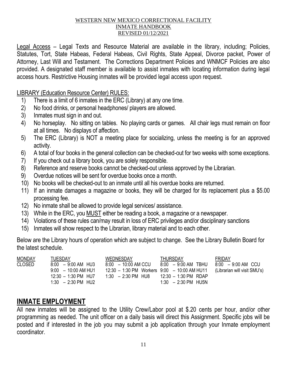Legal Access – Legal Texts and Resource Material are available in the library, including; Policies, Statutes, Tort, State Habeas, Federal Habeas, Civil Rights, State Appeal, Divorce packet, Power of Attorney, Last Will and Testament. The Corrections Department Policies and WNMCF Policies are also provided. A designated staff member is available to assist inmates with locating information during legal access hours. Restrictive Housing inmates will be provided legal access upon request.

## LIBRARY (Education Resource Center) RULES:

- 1) There is a limit of 6 inmates in the ERC (Library) at any one time.
- 2) No food drinks, or personal headphones/ players are allowed.
- 3) Inmates must sign in and out.
- 4) No horseplay. No sitting on tables. No playing cards or games. All chair legs must remain on floor at all times. No displays of affection.
- 5) The ERC (Library) is NOT a meeting place for socializing, unless the meeting is for an approved activity.
- 6) A total of four books in the general collection can be checked-out for two weeks with some exceptions.
- 7) If you check out a library book, you are solely responsible.
- 8) Reference and reserve books cannot be checked-out unless approved by the Librarian.
- 9) Overdue notices will be sent for overdue books once a month.
- 10) No books will be checked-out to an inmate until all his overdue books are returned.
- 11) If an inmate damages a magazine or books, they will be charged for its replacement plus a \$5.00 processing fee.
- 12) No inmate shall be allowed to provide legal services/ assistance.
- 13) While in the ERC, you MUST either be reading a book, a magazine or a newspaper.
- 14) Violations of these rules can/may result in loss of ERC privileges and/or disciplinary sanctions
- 15) Inmates will show respect to the Librarian, library material and to each other.

Below are the Library hours of operation which are subject to change. See the Library Bulletin Board for the latest schedule.

| <b>MONDAY</b> | TUESDAY                                                                                                        | WEDNESDAY                                                                                                                                                | <b>THURSDAY</b>                                                              | FRIDAY               |
|---------------|----------------------------------------------------------------------------------------------------------------|----------------------------------------------------------------------------------------------------------------------------------------------------------|------------------------------------------------------------------------------|----------------------|
| <b>CLOSED</b> | $8:00 - 9:00$ AM HU3<br>$9:00 - 10:00$ AM HU1<br>$12:30 - 1:30 \text{ PM}$ HU7<br>$1:30 - 2:30 \text{ PM}$ HU2 | $8:00 - 10:00$ AM CCU<br>$12:30 - 1:30 \text{ PM}$ Workers $9:00 - 10:00 \text{ AM H}$ HU11 (Librarian will visit SMU's)<br>$1:30 - 2:30 \text{ PM}$ HU8 | 8:00 - 9:00 AM TBHU<br>12:30 - 1:30 PM RDAP<br>$1:30 - 2:30 \text{ PM}$ HU5N | $8:00 - 9:00$ AM CCU |

# **INMATE EMPLOYMENT**

All new inmates will be assigned to the Utility Crew/Labor pool at \$.20 cents per hour, and/or other programming as needed. The unit officer on a daily basis will direct this Assignment. Specific jobs will be posted and if interested in the job you may submit a job application through your Inmate employment coordinator.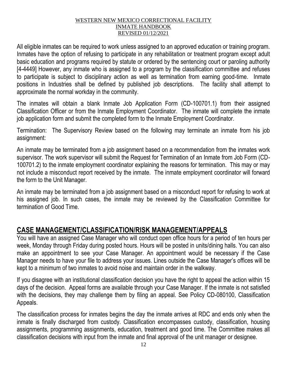All eligible inmates can be required to work unless assigned to an approved education or training program. Inmates have the option of refusing to participate in any rehabilitation or treatment program except adult basic education and programs required by statute or ordered by the sentencing court or paroling authority [4-4449] However, any inmate who is assigned to a program by the classification committee and refuses to participate is subject to disciplinary action as well as termination from earning good-time. Inmate positions in Industries shall be defined by published job descriptions. The facility shall attempt to approximate the normal workday in the community.

The inmates will obtain a blank Inmate Job Application Form (CD-100701.1) from their assigned Classification Officer or from the Inmate Employment Coordinator. The inmate will complete the inmate job application form and submit the completed form to the Inmate Employment Coordinator.

Termination: The Supervisory Review based on the following may terminate an inmate from his job assignment:

An inmate may be terminated from a job assignment based on a recommendation from the inmates work supervisor. The work supervisor will submit the Request for Termination of an Inmate from Job Form (CD-100701.2) to the inmate employment coordinator explaining the reasons for termination. This may or may not include a misconduct report received by the inmate. The inmate employment coordinator will forward the form to the Unit Manager.

An inmate may be terminated from a job assignment based on a misconduct report for refusing to work at his assigned job. In such cases, the inmate may be reviewed by the Classification Committee for termination of Good Time.

# **CASE MANAGEMENT/CLASSIFICATION/RISK MANAGEMENT/APPEALS**

You will have an assigned Case Manager who will conduct open office hours for a period of ten hours per week, Monday through Friday during posted hours. Hours will be posted in units/dining halls. You can also make an appointment to see your Case Manager. An appointment would be necessary if the Case Manager needs to have your file to address your issues. Lines outside the Case Manager's offices will be kept to a minimum of two inmates to avoid noise and maintain order in the walkway.

If you disagree with an institutional classification decision you have the right to appeal the action within 15 days of the decision. Appeal forms are available through your Case Manager. If the inmate is not satisfied with the decisions, they may challenge them by filing an appeal. See Policy CD-080100, Classification Appeals.

The classification process for inmates begins the day the inmate arrives at RDC and ends only when the inmate is finally discharged from custody. Classification encompasses custody, classification, housing assignments, programming assignments, education, treatment and good time. The Committee makes all classification decisions with input from the inmate and final approval of the unit manager or designee.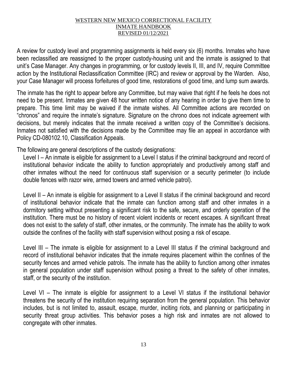A review for custody level and programming assignments is held every six (6) months. Inmates who have been reclassified are reassigned to the proper custody-housing unit and the inmate is assigned to that unit's Case Manager. Any changes in programming, or for custody levels II, III, and IV, require Committee action by the Institutional Reclassification Committee (IRC) and review or approval by the Warden. Also, your Case Manager will process forfeitures of good time, restorations of good time, and lump sum awards.

The inmate has the right to appear before any Committee, but may waive that right if he feels he does not need to be present. Inmates are given 48 hour written notice of any hearing in order to give them time to prepare. This time limit may be waived if the inmate wishes. All Committee actions are recorded on "chronos" and require the inmate's signature. Signature on the chrono does not indicate agreement with decisions, but merely indicates that the inmate received a written copy of the Committee's decisions. Inmates not satisfied with the decisions made by the Committee may file an appeal in accordance with Policy CD-080102.10, Classification Appeals.

The following are general descriptions of the custody designations:

Level I – An inmate is eligible for assignment to a Level I status if the criminal background and record of institutional behavior indicate the ability to function appropriately and productively among staff and other inmates without the need for continuous staff supervision or a security perimeter (to include double fences with razor wire, armed towers and armed vehicle patrol).

Level II – An inmate is eligible for assignment to a Level II status if the criminal background and record of institutional behavior indicate that the inmate can function among staff and other inmates in a dormitory setting without presenting a significant risk to the safe, secure, and orderly operation of the institution. There must be no history of recent violent incidents or recent escapes. A significant threat does not exist to the safety of staff, other inmates, or the community. The inmate has the ability to work outside the confines of the facility with staff supervision without posing a risk of escape.

Level III – The inmate is eligible for assignment to a Level III status if the criminal background and record of institutional behavior indicates that the inmate requires placement within the confines of the security fences and armed vehicle patrols. The inmate has the ability to function among other inmates in general population under staff supervision without posing a threat to the safety of other inmates, staff, or the security of the institution.

Level VI – The inmate is eligible for assignment to a Level VI status if the institutional behavior threatens the security of the institution requiring separation from the general population. This behavior includes, but is not limited to, assault, escape, murder, inciting riots, and planning or participating in security threat group activities. This behavior poses a high risk and inmates are not allowed to congregate with other inmates.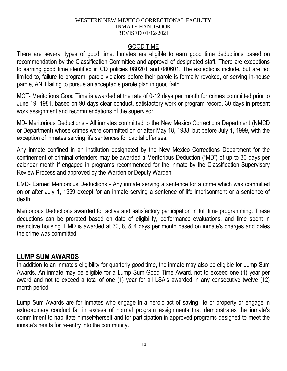## GOOD TIME

There are several types of good time. Inmates are eligible to earn good time deductions based on recommendation by the Classification Committee and approval of designated staff. There are exceptions to earning good time identified in CD policies 080201 and 080601. The exceptions include, but are not limited to, failure to program, parole violators before their parole is formally revoked, or serving in-house parole, AND failing to pursue an acceptable parole plan in good faith.

MGT- Meritorious Good Time is awarded at the rate of 0-12 days per month for crimes committed prior to June 19, 1981, based on 90 days clear conduct, satisfactory work or program record, 30 days in present work assignment and recommendations of the supervisor.

MD- Meritorious Deductions **-** All inmates committed to the New Mexico Corrections Department (NMCD or Department) whose crimes were committed on or after May 18, 1988, but before July 1, 1999, with the exception of inmates serving life sentences for capital offenses.

Any inmate confined in an institution designated by the New Mexico Corrections Department for the confinement of criminal offenders may be awarded a Meritorious Deduction ("MD") of up to 30 days per calendar month if engaged in programs recommended for the inmate by the Classification Supervisory Review Process and approved by the Warden or Deputy Warden.

EMD- Earned Meritorious Deductions - Any inmate serving a sentence for a crime which was committed on or after July 1, 1999 except for an inmate serving a sentence of life imprisonment or a sentence of death.

Meritorious Deductions awarded for active and satisfactory participation in full time programming. These deductions can be prorated based on date of eligibility, performance evaluations, and time spent in restrictive housing. EMD is awarded at 30, 8, & 4 days per month based on inmate's charges and dates the crime was committed.

# **LUMP SUM AWARDS**

In addition to an inmate's eligibility for quarterly good time, the inmate may also be eligible for Lump Sum Awards. An inmate may be eligible for a Lump Sum Good Time Award, not to exceed one (1) year per award and not to exceed a total of one (1) year for all LSA's awarded in any consecutive twelve (12) month period.

Lump Sum Awards are for inmates who engage in a heroic act of saving life or property or engage in extraordinary conduct far in excess of normal program assignments that demonstrates the inmate's commitment to habilitate himself/herself and for participation in approved programs designed to meet the inmate's needs for re-entry into the community.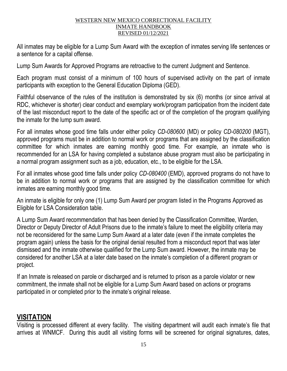All inmates may be eligible for a Lump Sum Award with the exception of inmates serving life sentences or a sentence for a capital offense.

Lump Sum Awards for Approved Programs are retroactive to the current Judgment and Sentence.

Each program must consist of a minimum of 100 hours of supervised activity on the part of inmate participants with exception to the General Education Diploma (GED).

Faithful observance of the rules of the institution is demonstrated by six (6) months (or since arrival at RDC, whichever is shorter) clear conduct and exemplary work/program participation from the incident date of the last misconduct report to the date of the specific act or of the completion of the program qualifying the inmate for the lump sum award.

For all inmates whose good time falls under either policy *CD-080600* (MD) or policy *CD-080200* (MGT), approved programs must be in addition to normal work or programs that are assigned by the classification committee for which inmates are earning monthly good time. For example, an inmate who is recommended for an LSA for having completed a substance abuse program must also be participating in a normal program assignment such as a job, education, etc., to be eligible for the LSA.

For all inmates whose good time falls under policy *CD-080400* (EMD), approved programs do not have to be in addition to normal work or programs that are assigned by the classification committee for which inmates are earning monthly good time.

An inmate is eligible for only one (1) Lump Sum Award per program listed in the Programs Approved as Eligible for LSA Consideration table.

A Lump Sum Award recommendation that has been denied by the Classification Committee, Warden, Director or Deputy Director of Adult Prisons due to the inmate's failure to meet the eligibility criteria may not be reconsidered for the same Lump Sum Award at a later date (even if the inmate completes the program again) unless the basis for the original denial resulted from a misconduct report that was later dismissed and the inmate otherwise qualified for the Lump Sum award. However, the inmate may be considered for another LSA at a later date based on the inmate's completion of a different program or project.

If an Inmate is released on parole or discharged and is returned to prison as a parole violator or new commitment, the inmate shall not be eligible for a Lump Sum Award based on actions or programs participated in or completed prior to the inmate's original release.

# **VISITATION**

Visiting is processed different at every facility. The visiting department will audit each inmate's file that arrives at WNMCF. During this audit all visiting forms will be screened for original signatures, dates,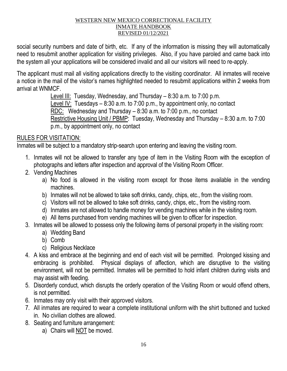social security numbers and date of birth, etc. If any of the information is missing they will automatically need to resubmit another application for visiting privileges. Also, if you have paroled and came back into the system all your applications will be considered invalid and all our visitors will need to re-apply.

The applicant must mail all visiting applications directly to the visiting coordinator. All inmates will receive a notice in the mail of the visitor's names highlighted needed to resubmit applications within 2 weeks from arrival at WNMCF.

> Level III: Tuesday, Wednesday, and Thursday – 8:30 a.m. to 7:00 p.m. Level IV: Tuesdays  $-8:30$  a.m. to 7:00 p.m., by appointment only, no contact RDC: Wednesday and Thursday – 8:30 a.m. to 7:00 p.m., no contact Restrictive Housing Unit / PBMP: Tuesday, Wednesday and Thursday – 8:30 a.m. to 7:00 p.m., by appointment only, no contact

# RULES FOR VISITATION:

Inmates will be subject to a mandatory strip-search upon entering and leaving the visiting room.

- 1. Inmates will not be allowed to transfer any type of item in the Visiting Room with the exception of photographs and letters after inspection and approval of the Visiting Room Officer.
- 2. Vending Machines
	- a) No food is allowed in the visiting room except for those items available in the vending machines.
	- b) Inmates will not be allowed to take soft drinks, candy, chips, etc., from the visiting room.
	- c) Visitors will not be allowed to take soft drinks, candy, chips, etc., from the visiting room.
	- d) Inmates are not allowed to handle money for vending machines while in the visiting room.
	- e) All items purchased from vending machines will be given to officer for inspection.
- 3. Inmates will be allowed to possess only the following items of personal property in the visiting room:
	- a) Wedding Band
	- b) Comb
	- c) Religious Necklace
- 4. A kiss and embrace at the beginning and end of each visit will be permitted. Prolonged kissing and embracing is prohibited. Physical displays of affection, which are disruptive to the visiting environment, will not be permitted. Inmates will be permitted to hold infant children during visits and may assist with feeding.
- 5. Disorderly conduct, which disrupts the orderly operation of the Visiting Room or would offend others, is not permitted.
- 6. Inmates may only visit with their approved visitors.
- 7. All inmates are required to wear a complete institutional uniform with the shirt buttoned and tucked in. No civilian clothes are allowed.
- 8. Seating and furniture arrangement:
	- a) Chairs will NOT be moved.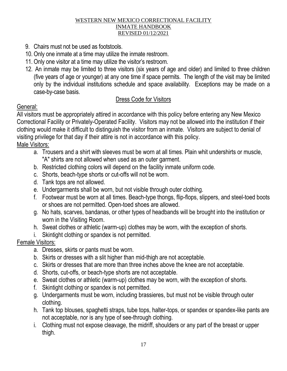- 9. Chairs must not be used as footstools.
- 10. Only one inmate at a time may utilize the inmate restroom.
- 11. Only one visitor at a time may utilize the visitor's restroom.
- 12. An inmate may be limited to three visitors (six years of age and older) and limited to three children (five years of age or younger) at any one time if space permits. The length of the visit may be limited only by the individual institutions schedule and space availability. Exceptions may be made on a case-by-case basis.

# Dress Code for Visitors

# General:

All visitors must be appropriately attired in accordance with this policy before entering any New Mexico Correctional Facility or Privately-Operated Facility. Visitors may not be allowed into the institution if their clothing would make it difficult to distinguish the visitor from an inmate. Visitors are subject to denial of visiting privilege for that day if their attire is not in accordance with this policy. Male Visitors:

- a. Trousers and a shirt with sleeves must be worn at all times. Plain whit undershirts or muscle, "A" shirts are not allowed when used as an outer garment.
- b. Restricted clothing colors will depend on the facility inmate uniform code.
- c. Shorts, beach-type shorts or cut-offs will not be worn.
- d. Tank tops are not allowed.
- e. Undergarments shall be worn, but not visible through outer clothing.
- f. Footwear must be worn at all times. Beach-type thongs, flip-flops, slippers, and steel-toed boots or shoes are not permitted. Open-toed shoes are allowed.
- g. No hats, scarves, bandanas, or other types of headbands will be brought into the institution or worn in the Visiting Room.
- h. Sweat clothes or athletic (warm-up) clothes may be worn, with the exception of shorts.
- i. Skintight clothing or spandex is not permitted.

# Female Visitors:

- a. Dresses, skirts or pants must be worn.
- b. Skirts or dresses with a slit higher than mid-thigh are not acceptable.
- c. Skirts or dresses that are more than three inches above the knee are not acceptable.
- d. Shorts, cut-offs, or beach-type shorts are not acceptable.
- e. Sweat clothes or athletic (warm-up) clothes may be worn, with the exception of shorts.
- f. Skintight clothing or spandex is not permitted.
- g. Undergarments must be worn, including brassieres, but must not be visible through outer clothing.
- h. Tank top blouses, spaghetti straps, tube tops, halter-tops, or spandex or spandex-like pants are not acceptable, nor is any type of see-through clothing.
- i. Clothing must not expose cleavage, the midriff, shoulders or any part of the breast or upper thigh.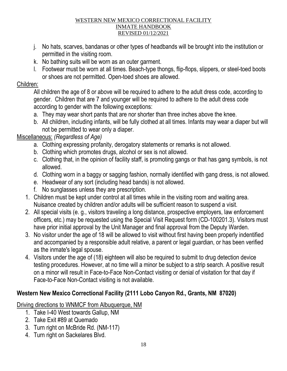- j. No hats, scarves, bandanas or other types of headbands will be brought into the institution or permitted in the visiting room.
- k. No bathing suits will be worn as an outer garment.
- l. Footwear must be worn at all times. Beach-type thongs, flip-flops, slippers, or steel-toed boots or shoes are not permitted. Open-toed shoes are allowed.

# Children:

All children the age of 8 or above will be required to adhere to the adult dress code, according to gender. Children that are 7 and younger will be required to adhere to the adult dress code according to gender with the following exceptions:

- a. They may wear short pants that are nor shorter than three inches above the knee.
- b. All children, including infants, will be fully clothed at all times. Infants may wear a diaper but will not be permitted to wear only a diaper.

# Miscellaneous: *(Regardless of Age)*

- a. Clothing expressing profanity, derogatory statements or remarks is not allowed.
- b. Clothing which promotes drugs, alcohol or sex is not allowed.
- c. Clothing that, in the opinion of facility staff, is promoting gangs or that has gang symbols, is not allowed.
- d. Clothing worn in a baggy or sagging fashion, normally identified with gang dress, is not allowed.
- e. Headwear of any sort (including head bands) is not allowed.
- f. No sunglasses unless they are prescription.
- 1. Children must be kept under control at all times while in the visiting room and waiting area. Nuisance created by children and/or adults will be sufficient reason to suspend a visit.
- 2. All special visits (e. g., visitors traveling a long distance, prospective employers, law enforcement officers, etc.) may be requested using the Special Visit Request form (CD-100201.3). Visitors must have prior initial approval by the Unit Manager and final approval from the Deputy Warden.
- 3. No visitor under the age of 18 will be allowed to visit without first having been properly indentified and accompanied by a responsible adult relative, a parent or legal guardian, or has been verified as the inmate's legal spouse.
- 4. Visitors under the age of (18) eighteen will also be required to submit to drug detection device testing procedures. However, at no time will a minor be subject to a strip search. A positive result on a minor will result in Face-to-Face Non-Contact visiting or denial of visitation for that day if Face-to-Face Non-Contact visiting is not available.

# **Western New Mexico Correctional Facility (2111 Lobo Canyon Rd., Grants, NM 87020)**

Driving directions to WNMCF from Albuquerque, NM

- 1. Take I-40 West towards Gallup, NM
- 2. Take Exit #89 at Quemado
- 3. Turn right on McBride Rd. (NM-117)
- 4. Turn right on Sackelares Blvd.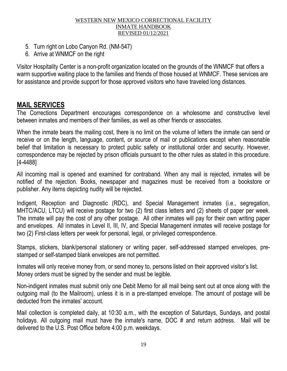- 5. Turn right on Lobo Canyon Rd. (NM-547)
- 6. Arrive at WNMCF on the right

Visitor Hospitality Center is a non-profit organization located on the grounds of the WNMCF that offers a warm supportive waiting place to the families and friends of those housed at WNMCF. These services are for assistance and provide support for those approved visitors who have traveled long distances.

# **MAIL SERVICES**

The Corrections Department encourages correspondence on a wholesome and constructive level between inmates and members of their families, as well as other friends or associates.

When the inmate bears the mailing cost, there is no limit on the volume of letters the inmate can send or receive or on the length, language, content, or source of mail or publications except when reasonable belief that limitation is necessary to protect public safety or institutional order and security. However, correspondence may be rejected by prison officials pursuant to the other rules as stated in this procedure. [4-4488]

All incoming mail is opened and examined for contraband. When any mail is rejected, inmates will be notified of the rejection. Books, newspaper and magazines must be received from a bookstore or publisher. Any items depicting nudity will be rejected.

Indigent, Reception and Diagnostic (RDC), and Special Management inmates (i.e., segregation, MHTC/ACU, LTCU) will receive postage for two (2) first class letters and (2) sheets of paper per week. The inmate will pay the cost of any other postage. All other inmates will pay for their own writing paper and envelopes. All inmates in Level II, III, IV, and Special Management inmates will receive postage for two (2) First-class letters per week for personal, legal, or privileged correspondence.

Stamps, stickers, blank/personal stationery or writing paper, self-addressed stamped envelopes, prestamped or self-stamped blank envelopes are not permitted.

Inmates will only receive money from, or send money to, persons listed on their approved visitor's list. Money orders must be signed by the sender and must be legible.

Non-indigent inmates must submit only one Debit Memo for all mail being sent out at once along with the outgoing mail (to the Mailroom), unless it is in a pre-stamped envelope. The amount of postage will be deducted from the inmates' account.

Mail collection is completed daily, at 10:30 a.m., with the exception of Saturdays, Sundays, and postal holidays. All outgoing mail must have the inmate's name, DOC # and return address. Mail will be delivered to the U.S. Post Office before 4:00 p.m. weekdays.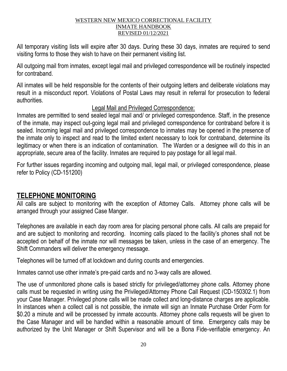All temporary visiting lists will expire after 30 days. During these 30 days, inmates are required to send visiting forms to those they wish to have on their permanent visiting list.

All outgoing mail from inmates, except legal mail and privileged correspondence will be routinely inspected for contraband.

All inmates will be held responsible for the contents of their outgoing letters and deliberate violations may result in a misconduct report. Violations of Postal Laws may result in referral for prosecution to federal authorities.

# Legal Mail and Privileged Correspondence:

Inmates are permitted to send sealed legal mail and/ or privileged correspondence. Staff, in the presence of the inmate, may inspect out-going legal mail and privileged correspondence for contraband before it is sealed. Incoming legal mail and privileged correspondence to inmates may be opened in the presence of the inmate only to inspect and read to the limited extent necessary to look for contraband, determine its legitimacy or when there is an indication of contamination. The Warden or a designee will do this in an appropriate, secure area of the facility. Inmates are required to pay postage for all legal mail.

For further issues regarding incoming and outgoing mail, legal mail, or privileged correspondence, please refer to Policy (CD-151200)

# **TELEPHONE MONITORING**

All calls are subject to monitoring with the exception of Attorney Calls. Attorney phone calls will be arranged through your assigned Case Manger.

Telephones are available in each day room area for placing personal phone calls. All calls are prepaid for and are subject to monitoring and recording. Incoming calls placed to the facility's phones shall not be accepted on behalf of the inmate nor will messages be taken, unless in the case of an emergency. The Shift Commanders will deliver the emergency message.

Telephones will be turned off at lockdown and during counts and emergencies.

Inmates cannot use other inmate's pre-paid cards and no 3-way calls are allowed.

The use of unmonitored phone calls is based strictly for privileged/attorney phone calls. Attorney phone calls must be requested in writing using the Privileged/Attorney Phone Call Request (CD-150302.1) from your Case Manager. Privileged phone calls will be made collect and long-distance charges are applicable. In instances when a collect call is not possible, the inmate will sign an Inmate Purchase Order Form for \$0.20 a minute and will be processed by inmate accounts. Attorney phone calls requests will be given to the Case Manager and will be handled within a reasonable amount of time. Emergency calls may be authorized by the Unit Manager or Shift Supervisor and will be a Bona Fide-verifiable emergency. An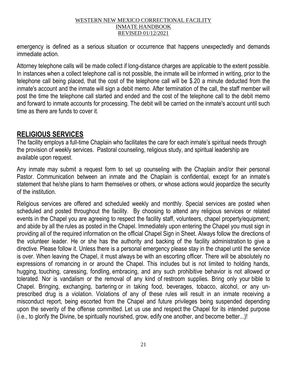emergency is defined as a serious situation or occurrence that happens unexpectedly and demands immediate action.

Attorney telephone calls will be made collect if long-distance charges are applicable to the extent possible. In instances when a collect telephone call is not possible, the inmate will be informed in writing, prior to the telephone call being placed, that the cost of the telephone call will be \$.20 a minute deducted from the inmate's account and the inmate will sign a debit memo. After termination of the call, the staff member will post the time the telephone call started and ended and the cost of the telephone call to the debit memo and forward to inmate accounts for processing. The debit will be carried on the inmate's account until such time as there are funds to cover it.

# **RELIGIOUS SERVICES**

The facility employs a full-time Chaplain who facilitates the care for each inmate's spiritual needs through the provision of weekly services. Pastoral counseling, religious study, and spiritual leadership are available upon request.

Any inmate may submit a request form to set up counseling with the Chaplain and/or their personal Pastor. Communication between an inmate and the Chaplain is confidential, except for an inmate's statement that he/she plans to harm themselves or others, or whose actions would jeopardize the security of the institution.

Religious services are offered and scheduled weekly and monthly. Special services are posted when scheduled and posted throughout the facility. By choosing to attend any religious services or related events in the Chapel you are agreeing to respect the facility staff, volunteers, chapel property/equipment; and abide by all the rules as posted in the Chapel. Immediately upon entering the Chapel you must sign in providing all of the required information on the official Chapel Sign in Sheet. Always follow the directions of the volunteer leader. He or she has the authority and backing of the facility administration to give a directive. Please follow it. Unless there is a personal emergency please stay in the chapel until the service is over. When leaving the Chapel, it must always be with an escorting officer. There will be absolutely no expressions of romancing in or around the Chapel. This includes but is not limited to holding hands, hugging, touching, caressing, fondling, embracing, and any such prohibitive behavior is not allowed or tolerated. Nor is vandalism or the removal of any kind of restroom supplies. Bring only your bible to Chapel. Bringing, exchanging, bartering or in taking food, beverages, tobacco, alcohol, or any unprescribed drug is a violation. Violations of any of these rules will result in an inmate receiving a misconduct report, being escorted from the Chapel and future privileges being suspended depending upon the severity of the offense committed. Let us use and respect the Chapel for its intended purpose (i.e., to glorify the Divine, be spiritually nourished, grow, edify one another, and become better...)!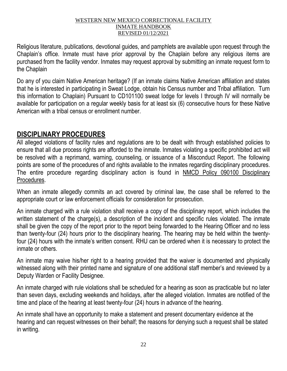Religious literature, publications, devotional guides, and pamphlets are available upon request through the Chaplain's office. Inmate must have prior approval by the Chaplain before any religious items are purchased from the facility vendor. Inmates may request approval by submitting an inmate request form to the Chaplain

Do any of you claim Native American heritage? (If an inmate claims Native American affiliation and states that he is interested in participating in Sweat Lodge, obtain his Census number and Tribal affiliation. Turn this information to Chaplain) Pursuant to CD101100 sweat lodge for levels I through IV will normally be available for participation on a regular weekly basis for at least six (6) consecutive hours for these Native American with a tribal census or enrollment number.

# **DISCIPLINARY PROCEDURES**

All alleged violations of facility rules and regulations are to be dealt with through established policies to ensure that all due process rights are afforded to the inmate. Inmates violating a specific prohibited act will be resolved with a reprimand, warning, counseling, or issuance of a Misconduct Report. The following points are some of the procedures of and rights available to the inmates regarding disciplinary procedures. The entire procedure regarding disciplinary action is found in NMCD Policy 090100 Disciplinary Procedures.

When an inmate allegedly commits an act covered by criminal law, the case shall be referred to the appropriate court or law enforcement officials for consideration for prosecution.

An inmate charged with a rule violation shall receive a copy of the disciplinary report, which includes the written statement of the charge(s), a description of the incident and specific rules violated. The inmate shall be given the copy of the report prior to the report being forwarded to the Hearing Officer and no less than twenty-four (24) hours prior to the disciplinary hearing. The hearing may be held within the twentyfour (24) hours with the inmate's written consent. RHU can be ordered when it is necessary to protect the inmate or others.

An inmate may waive his/her right to a hearing provided that the waiver is documented and physically witnessed along with their printed name and signature of one additional staff member's and reviewed by a Deputy Warden or Facility Designee.

An inmate charged with rule violations shall be scheduled for a hearing as soon as practicable but no later than seven days, excluding weekends and holidays, after the alleged violation. Inmates are notified of the time and place of the hearing at least twenty-four (24) hours in advance of the hearing.

An inmate shall have an opportunity to make a statement and present documentary evidence at the hearing and can request witnesses on their behalf; the reasons for denying such a request shall be stated in writing.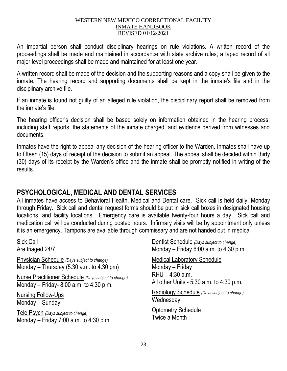An impartial person shall conduct disciplinary hearings on rule violations. A written record of the proceedings shall be made and maintained in accordance with state archive rules; a taped record of all major level proceedings shall be made and maintained for at least one year.

A written record shall be made of the decision and the supporting reasons and a copy shall be given to the inmate. The hearing record and supporting documents shall be kept in the inmate's file and in the disciplinary archive file.

If an inmate is found not guilty of an alleged rule violation, the disciplinary report shall be removed from the inmate's file.

The hearing officer's decision shall be based solely on information obtained in the hearing process, including staff reports, the statements of the inmate charged, and evidence derived from witnesses and documents.

Inmates have the right to appeal any decision of the hearing officer to the Warden. Inmates shall have up to fifteen (15) days of receipt of the decision to submit an appeal. The appeal shall be decided within thirty (30) days of its receipt by the Warden's office and the inmate shall be promptly notified in writing of the results.

# **PSYCHOLOGICAL, MEDICAL AND DENTAL SERVICES**

All inmates have access to Behavioral Health, Medical and Dental care. Sick call is held daily, Monday through Friday. Sick call and dental request forms should be put in sick call boxes in designated housing locations, and facility locations. Emergency care is available twenty-four hours a day. Sick call and medication call will be conducted during posted hours. Infirmary visits will be by appointment only unless it is an emergency. Tampons are available through commissary and are not handed out in medical

Sick Call Are triaged 24/7

Physician Schedule *(Days subject to change)* Monday – Thursday  $(5:30$  a.m. to  $4:30$  pm)

Nurse Practitioner Schedule *(Days subject to change)* Monday – Friday- 8:00 a.m. to 4:30 p.m.

Nursing Follow-Ups Monday – Sunday

Tele Psych *(Days subject to change)* Monday – Friday 7:00 a.m. to 4:30 p.m. Dentist Schedule *(Days subject to change)* Monday – Friday 6:00 a.m. to 4:30 p.m.

Medical Laboratory Schedule Monday – Friday RHU – 4:30 a.m. All other Units - 5:30 a.m. to 4:30 p.m.

Radiology Schedule *(Days subject to change)* **Wednesday** 

Optometry Schedule Twice a Month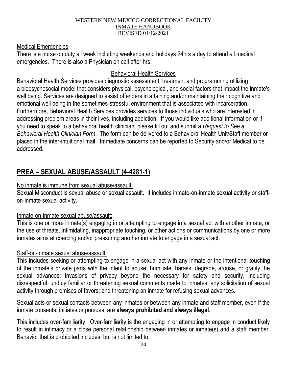## Medical Emergencies

There is a nurse on duty all week including weekends and holidays 24hrs a day to attend all medical emergencies. There is also a Physician on call after hrs.

# Behavioral Health Services

Behavioral Health Services provides diagnostic assessment, treatment and programming utilizing a biopsychosocial model that considers physical, psychological, and social factors that impact the inmate's well being. Services are designed to assist offenders in attaining and/or maintaining their cognitive and emotional well being in the sometimes-stressful environment that is associated with incarceration. Furthermore, Behavioral Health Services provides services to those individuals who are interested in addressing problem areas in their lives, including addiction. If you would like additional information or if you need to speak to a behavioral health clinician, please fill out and submit a *Request to See a Behavioral Health Clinician Form*. The form can be delivered to a Behavioral Health Unit/Staff member or placed in the inter-intuitional mail. Immediate concerns can be reported to Security and/or Medical to be addressed.

# **PREA – SEXUAL ABUSE/ASSAULT (4-4281-1)**

# No inmate is immune from sexual abuse/assault.

Sexual Misconduct is sexual abuse or sexual assault. It includes inmate-on-inmate sexual activity or staffon-inmate sexual activity.

# Inmate-on-inmate sexual abuse/assault:

This is one or more inmate(s) engaging in or attempting to engage in a sexual act with another inmate, or the use of threats, intimidating, inappropriate touching, or other actions or communications by one or more inmates aims at coercing and/or pressuring another inmate to engage in a sexual act.

# Staff-on-inmate sexual abuse/assault:

This includes seeking or attempting to engage in a sexual act with any inmate or the intentional touching of the inmate's private parts with the intent to abuse, humiliate, harass, degrade, arouse, or gratify the sexual advances; invasions of privacy beyond the necessary for safety and security, including disrespectful, unduly familiar or threatening sexual comments made to inmates; any solicitation of sexual activity through promises of favors; and threatening an inmate for refusing sexual advances.

Sexual acts or sexual contacts between any inmates or between any inmate and staff member, even if the inmate consents, initiates or pursues, are **always prohibited and always illegal**.

This includes over-familiarity. Over-familiarity is the engaging in or attempting to engage in conduct likely to result in intimacy or a close personal relationship between inmates or inmate(s) and a staff member. Behavior that is prohibited includes, but is not limited to: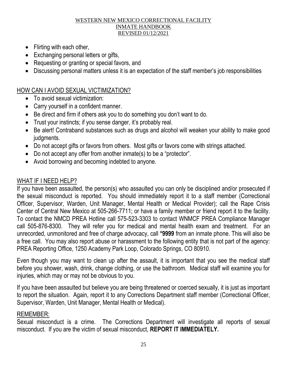- Flirting with each other,
- Exchanging personal letters or gifts,
- Requesting or granting or special favors, and
- Discussing personal matters unless it is an expectation of the staff member's job responsibilities

# HOW CAN I AVOID SEXUAL VICTIMIZATION?

- To avoid sexual victimization:
- Carry yourself in a confident manner.
- Be direct and firm if others ask you to do something you don't want to do.
- Trust your instincts; if you sense danger, it's probably real.
- Be alert! Contraband substances such as drugs and alcohol will weaken your ability to make good judgments.
- Do not accept gifts or favors from others. Most gifts or favors come with strings attached.
- Do not accept any offer from another inmate(s) to be a "protector".
- Avoid borrowing and becoming indebted to anyone.

# WHAT IF I NEED HELP?

If you have been assaulted, the person(s) who assaulted you can only be disciplined and/or prosecuted if the sexual misconduct is reported. You should immediately report it to a staff member (Correctional Officer, Supervisor, Warden, Unit Manager, Mental Health or Medical Provider); call the Rape Crisis Center of Central New Mexico at 505-266-7711; or have a family member or friend report it to the facility. To contact the NMCD PREA Hotline call 575-523-3303 to contact WNMCF PREA Compliance Manager call 505-876-8300. They will refer you for medical and mental health exam and treatment. For an unrecorded, unmonitored and free of charge advocacy, call **\*9999** from an inmate phone. This will also be a free call. You may also report abuse or harassment to the following entity that is not part of the agency: PREA Reporting Office, 1250 Academy Park Loop, Colorado Springs, CO 80910.

Even though you may want to clean up after the assault, it is important that you see the medical staff before you shower, wash, drink, change clothing, or use the bathroom. Medical staff will examine you for injuries, which may or may not be obvious to you.

If you have been assaulted but believe you are being threatened or coerced sexually, it is just as important to report the situation. Again, report it to any Corrections Department staff member (Correctional Officer, Supervisor, Warden, Unit Manager, Mental Health or Medical).

# REMEMBER:

Sexual misconduct is a crime. The Corrections Department will investigate all reports of sexual misconduct. If you are the victim of sexual misconduct, **REPORT IT IMMEDIATELY.**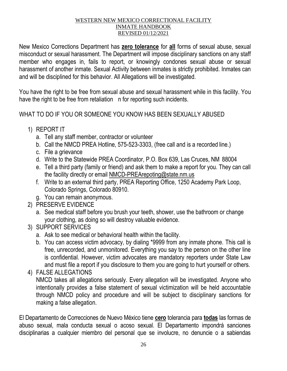New Mexico Corrections Department has **zero tolerance** for **all** forms of sexual abuse, sexual misconduct or sexual harassment. The Department will impose disciplinary sanctions on any staff member who engages in, fails to report, or knowingly condones sexual abuse or sexual harassment of another inmate. Sexual Activity between inmates is strictly prohibited. Inmates can and will be disciplined for this behavior. All Allegations will be investigated.

You have the right to be free from sexual abuse and sexual harassment while in this facility. You have the right to be free from retaliation n for reporting such incidents.

WHAT TO DO IF YOU OR SOMEONE YOU KNOW HAS BEEN SEXUALLY ABUSED

- 1) REPORT IT
	- a. Tell any staff member, contractor or volunteer
	- b. Call the NMCD PREA Hotline, 575-523-3303, (free call and is a recorded line.)
	- c. File a grievance
	- d. Write to the Statewide PREA Coordinator, P.O. Box 639, Las Cruces, NM 88004
	- e. Tell a third party (family or friend) and ask them to make a report for you. They can call the facility directly or email [NMCD-PREArepoting@state.nm.us](mailto:NMCD-PREArepoting@state.nm.us)
	- f. Write to an external third party, PREA Reporting Office, 1250 Academy Park Loop, Colorado Springs, Colorado 80910.
	- g. You can remain anonymous.
- 2) PRESERVE EVIDENCE
	- a. See medical staff before you brush your teeth, shower, use the bathroom or change your clothing, as doing so will destroy valuable evidence.
- 3) SUPPORT SERVICES
	- a. Ask to see medical or behavioral health within the facility.
	- b. You can access victim advocacy, by dialing \*9999 from any inmate phone. This call is free, unrecorded, and unmonitored. Everything you say to the person on the other line is confidential. However, victim advocates are mandatory reporters under State Law and must file a report if you disclosure to them you are going to hurt yourself or others.
- 4) FALSE ALLEGATIONS

NMCD takes all allegations seriously. Every allegation will be investigated. Anyone who intentionally provides a false statement of sexual victimization will be held accountable through NMCD policy and procedure and will be subject to disciplinary sanctions for making a false allegation.

El Departamento de Correcciones de Nuevo México tiene **cero** tolerancia para **todas** las formas de abuso sexual, mala conducta sexual o acoso sexual. El Departamento impondrá sanciones disciplinarias a cualquier miembro del personal que se involucre, no denuncie o a sabiendas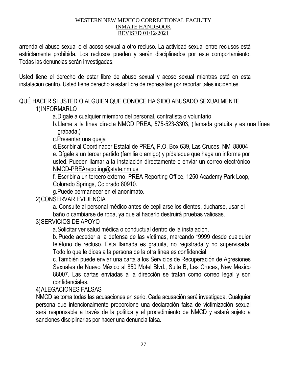arrenda el abuso sexual o el acoso sexual a otro recluso. La actividad sexual entre reclusos está estrictamente prohibida. Los reclusos pueden y serán disciplinados por este comportamiento. Todas las denuncias serán investigadas.

Usted tiene el derecho de estar libre de abuso sexual y acoso sexual mientras esté en esta instalacion centro. Usted tiene derecho a estar libre de represalias por reportar tales incidentes.

# QUÉ HACER SI USTED O ALGUIEN QUE CONOCE HA SIDO ABUSADO SEXUALMENTE 1)INFORMARLO

a.Dígale a cualquier miembro del personal, contratista o voluntario

b.Llame a la línea directa NMCD PREA, 575-523-3303, (llamada gratuita y es una línea grabada.)

c.Presentar una queja

d.Escribir al Coordinador Estatal de PREA, P.O. Box 639, Las Cruces, NM 88004 e. Dígale a un tercer partido (familia o amigo) y pídaleque que haga un informe por usted. Pueden llamar a la instalación directamente o enviar un correo electrónico [NMCD-](mailto:NMCD-PREArepoting@state.nm.us)[PREArepoting@state.nm.us](mailto:PREArepoting@state.nm.us)

f. Escribir a un tercero externo, PREA Reporting Office, 1250 Academy Park Loop, Colorado Springs, Colorado 80910.

g.Puede permanecer en el anonimato.

2)CONSERVAR EVIDENCIA

a. Consulte al personal médico antes de cepillarse los dientes, ducharse, usar el baño o cambiarse de ropa, ya que al hacerlo destruirá pruebas valiosas.

3)SERVICIOS DE APOYO

a.Solicitar ver salud médica o conductual dentro de la instalación.

b. Puede acceder a la defensa de las víctimas, marcando \*9999 desde cualquier teléfono de recluso. Esta llamada es gratuita, no registrada y no supervisada. Todo lo que le dices a la persona de la otra línea es confidencial.

c.También puede enviar una carta a los Servicios de Recuperación de Agresiones Sexuales de Nuevo México al 850 Motel Blvd., Suite B, Las Cruces, New Mexico 88007. Las cartas enviadas a la dirección se tratan como correo legal y son confidenciales.

4)ALEGACIONES FALSAS

NMCD se toma todas las acusaciones en serio. Cada acusación será investigada. Cualquier persona que intencionalmente proporcione una declaración falsa de victimización sexual será responsable a través de la política y el procedimiento de NMCD y estará sujeto a sanciones disciplinarias por hacer una denuncia falsa.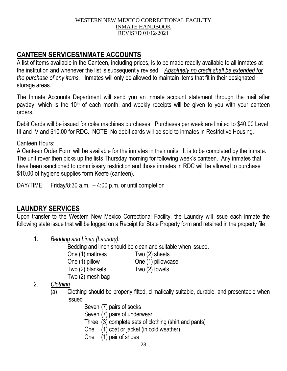# **CANTEEN SERVICES/INMATE ACCOUNTS**

A list of items available in the Canteen, including prices, is to be made readily available to all inmates at the institution and whenever the list is subsequently revised. *Absolutely no credit shall be extended for the purchase of any items.* Inmates will only be allowed to maintain items that fit in their designated storage areas.

The Inmate Accounts Department will send you an inmate account statement through the mail after payday, which is the 10<sup>th</sup> of each month, and weekly receipts will be given to you with your canteen orders.

Debit Cards will be issued for coke machines purchases. Purchases per week are limited to \$40.00 Level III and IV and \$10.00 for RDC. NOTE: No debit cards will be sold to inmates in Restrictive Housing.

# Canteen Hours:

A Canteen Order Form will be available for the inmates in their units. It is to be completed by the inmate. The unit rover then picks up the lists Thursday morning for following week's canteen. Any inmates that have been sanctioned to commissary restriction and those inmates in RDC will be allowed to purchase \$10.00 of hygiene supplies form Keefe (canteen).

DAY/TIME: Friday/8:30 a.m. – 4:00 p.m. or until completion

# **LAUNDRY SERVICES**

Upon transfer to the Western New Mexico Correctional Facility, the Laundry will issue each inmate the following state issue that will be logged on a Receipt for State Property form and retained in the property file

1. *Bedding and Linen (Laundry):* 

Bedding and linen should be clean and suitable when issued.

- One (1) mattress Two (2) sheets
	- One (1) pillow One (1) pillowcase

Two (2) blankets Two (2) towels

Two (2) mesh bag

# 2. *Clothing*

- (a) Clothing should be properly fitted, climatically suitable, durable, and presentable when issued
	- Seven (7) pairs of socks
	- Seven (7) pairs of underwear
	- Three (3) complete sets of clothing (shirt and pants)
	- One (1) coat or jacket (in cold weather)
	- One (1) pair of shoes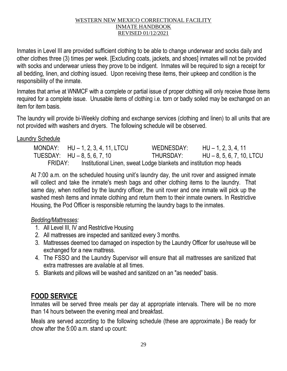Inmates in Level III are provided sufficient clothing to be able to change underwear and socks daily and other clothes three (3) times per week. [Excluding coats, jackets, and shoes] inmates will not be provided with socks and underwear unless they prove to be indigent. Inmates will be required to sign a receipt for all bedding, linen, and clothing issued. Upon receiving these items, their upkeep and condition is the responsibility of the inmate.

Inmates that arrive at WNMCF with a complete or partial issue of proper clothing will only receive those items required for a complete issue. Unusable items of clothing i.e. torn or badly soiled may be exchanged on an item for item basis.

The laundry will provide bi-Weekly clothing and exchange services (clothing and linen) to all units that are not provided with washers and dryers. The following schedule will be observed.

# Laundry Schedule

|                                | MONDAY: $HU - 1, 2, 3, 4, 11, LTCU$                                 | WEDNESDAY: | $HU - 1, 2, 3, 4, 11$       |
|--------------------------------|---------------------------------------------------------------------|------------|-----------------------------|
| TUESDAY: $HU - 8, 5, 6, 7, 10$ |                                                                     | THURSDAY:  | $HU - 8, 5, 6, 7, 10, LTCU$ |
| FRIDAY:                        | Institutional Linen, sweat Lodge blankets and institution mop heads |            |                             |

At 7:00 a.m. on the scheduled housing unit's laundry day, the unit rover and assigned inmate will collect and take the inmate's mesh bags and other clothing items to the laundry. That same day, when notified by the laundry officer, the unit rover and one inmate will pick up the washed mesh items and inmate clothing and return them to their inmate owners. In Restrictive Housing, the Pod Officer is responsible returning the laundry bags to the inmates.

# *Bedding/Mattresses:*

- 1. All Level III, IV and Restrictive Housing
- 2. All mattresses are inspected and sanitized every 3 months.
- 3. Mattresses deemed too damaged on inspection by the Laundry Officer for use/reuse will be exchanged for a new mattress.
- 4. The FSSO and the Laundry Supervisor will ensure that all mattresses are sanitized that extra mattresses are available at all times.
- 5. Blankets and pillows will be washed and sanitized on an "as needed" basis.

# **FOOD SERVICE**

Inmates will be served three meals per day at appropriate intervals. There will be no more than 14 hours between the evening meal and breakfast.

Meals are served according to the following schedule (these are approximate.) Be ready for chow after the 5:00 a.m. stand up count: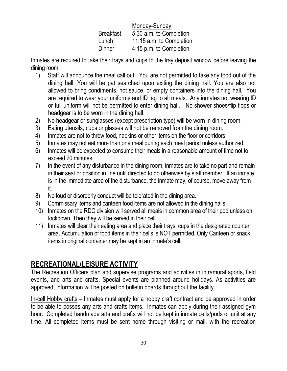|                  | Monday-Sunday            |  |
|------------------|--------------------------|--|
| <b>Breakfast</b> | 5:30 a.m. to Completion  |  |
| Lunch            | 11:15 a.m. to Completion |  |
| Dinner           | 4:15 p.m. to Completion  |  |

Inmates are required to take their trays and cups to the tray deposit window before leaving the dining room.

- 1) Staff will announce the meal call out. You are not permitted to take any food out of the dining hall. You will be pat searched upon exiting the dining hall. You are also not allowed to bring condiments, hot sauce, or empty containers into the dining hall. You are required to wear your uniforms and ID tag to all meals. Any inmates not wearing ID or full uniform will not be permitted to enter dining hall. No shower shoes/flip flops or headgear is to be worn in the dining hall.
- 2) No headgear or sunglasses (except prescription type) will be worn in dining room.
- 3) Eating utensils, cups or glasses will not be removed from the dining room.
- 4) Inmates are not to throw food, napkins or other items on the floor or corridors.
- 5) Inmates may not eat more than one meal during each meal period unless authorized.
- 6) Inmates will be expected to consume their meals in a reasonable amount of time not to exceed 20 minutes.
- 7) In the event of any disturbance in the dining room, inmates are to take no part and remain in their seat or position in line until directed to do otherwise by staff member. If an inmate is in the immediate area of the disturbance, the inmate may, of course, move away from it.
- 8) No loud or disorderly conduct will be tolerated in the dining area.
- 9) Commissary items and canteen food items are not allowed in the dining halls.
- 10) Inmates on the RDC division will served all meals in common area of their pod unless on lockdown. Then they will be served in their cell.
- 11) Inmates will clear their eating area and place their trays, cups in the designated counter area. Accumulation of food items in their cells is NOT permitted. Only Canteen or snack items in original container may be kept in an inmate's cell.

# **RECREATIONAL/LEISURE ACTIVITY**

The Recreation Officers plan and supervise programs and activities in intramural sports, field events, and arts and crafts. Special events are planned around holidays. As activities are approved, information will be posted on bulletin boards throughout the facility.

In-cell Hobby crafts – Inmates must apply for a hobby craft contract and be approved in order to be able to posses any arts and crafts items. Inmates can apply during their assigned gym hour. Completed handmade arts and crafts will not be kept in inmate cells/pods or unit at any time. All completed items must be sent home through visiting or mail, with the recreation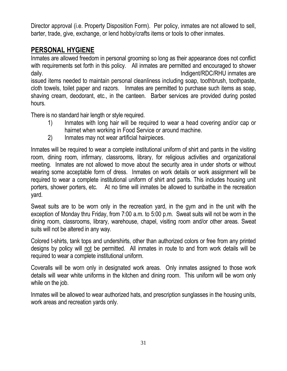Director approval (i.e. Property Disposition Form). Per policy, inmates are not allowed to sell, barter, trade, give, exchange, or lend hobby/crafts items or tools to other inmates.

# **PERSONAL HYGIENE**

Inmates are allowed freedom in personal grooming so long as their appearance does not conflict with requirements set forth in this policy. All inmates are permitted and encouraged to shower daily. **Indigent/RDC/RHU** inmates are issued items needed to maintain personal cleanliness including soap, toothbrush, toothpaste, cloth towels, toilet paper and razors. Inmates are permitted to purchase such items as soap, shaving cream, deodorant, etc., in the canteen. Barber services are provided during posted hours.

There is no standard hair length or style required.

- 1) Inmates with long hair will be required to wear a head covering and/or cap or hairnet when working in Food Service or around machine.
- 2) Inmates may not wear artificial hairpieces.

Inmates will be required to wear a complete institutional uniform of shirt and pants in the visiting room, dining room, infirmary, classrooms, library, for religious activities and organizational meeting. Inmates are not allowed to move about the security area in under shorts or without wearing some acceptable form of dress. Inmates on work details or work assignment will be required to wear a complete institutional uniform of shirt and pants. This includes housing unit porters, shower porters, etc. At no time will inmates be allowed to sunbathe in the recreation yard.

Sweat suits are to be worn only in the recreation yard, in the gym and in the unit with the exception of Monday thru Friday, from 7:00 a.m. to 5:00 p.m. Sweat suits will not be worn in the dining room, classrooms, library, warehouse, chapel, visiting room and/or other areas. Sweat suits will not be altered in any way.

Colored t-shirts, tank tops and undershirts, other than authorized colors or free from any printed designs by policy will not be permitted. All inmates in route to and from work details will be required to wear a complete institutional uniform.

Coveralls will be worn only in designated work areas. Only inmates assigned to those work details will wear white uniforms in the kitchen and dining room. This uniform will be worn only while on the job.

Inmates will be allowed to wear authorized hats, and prescription sunglasses in the housing units, work areas and recreation yards only.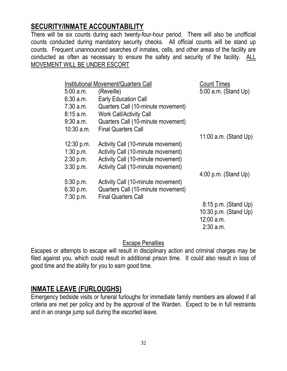# **SECURITY/INMATE ACCOUNTABILITY**

There will be six counts during each twenty-four-hour period. There will also be unofficial counts conducted during mandatory security checks. All official counts will be stand up counts. Frequent unannounced searches of inmates, cells, and other areas of the facility are conducted as often as necessary to ensure the safety and security of the facility. ALL MOVEMENT WILL BE UNDER ESCORT

|              | Institutional Movement/Quarters Call | <b>Count Times</b>      |
|--------------|--------------------------------------|-------------------------|
| 5:00 a.m.    | (Reveille)                           | 5:00 a.m. (Stand Up)    |
| 6:30 a.m.    | <b>Early Education Call</b>          |                         |
| 7:30 a.m.    | Quarters Call (10-minute movement)   |                         |
| 8:15 a.m.    | <b>Work Call/Activity Call</b>       |                         |
| 9:30 a.m.    | Quarters Call (10-minute movement)   |                         |
| $10:30$ a.m. | <b>Final Quarters Call</b>           |                         |
|              |                                      | 11:00 $a.m.$ (Stand Up) |
| 12:30 p.m.   | Activity Call (10-minute movement)   |                         |
| $1:30$ p.m.  | Activity Call (10-minute movement)   |                         |
| 2:30 p.m.    | Activity Call (10-minute movement)   |                         |
| 3:30 p.m.    | Activity Call (10-minute movement)   |                         |
|              |                                      | $4:00$ p.m. (Stand Up)  |
| 5:30 p.m.    | Activity Call (10-minute movement)   |                         |
| 6:30 p.m.    | Quarters Call (10-minute movement)   |                         |
| 7:30 p.m.    | <b>Final Quarters Call</b>           |                         |
|              |                                      | $8:15$ p.m. (Stand Up)  |
|              |                                      | 10:30 p.m. (Stand Up)   |
|              |                                      | 12:00 a.m.              |
|              |                                      | $2:30$ a.m.             |

# Escape Penalties

Escapes or attempts to escape will result in disciplinary action and criminal charges may be filed against you, which could result in additional prison time. It could also result in loss of good time and the ability for you to earn good time.

# **INMATE LEAVE (FURLOUGHS)**

Emergency bedside visits or funeral furloughs for immediate family members are allowed if all criteria are met per policy and by the approval of the Warden. Expect to be in full restraints and in an orange jump suit during the escorted leave.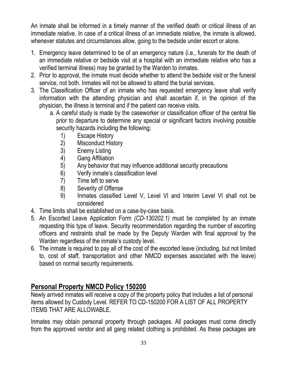An inmate shall be informed in a timely manner of the verified death or critical illness of an immediate relative. In case of a critical illness of an immediate relative, the inmate is allowed, whenever statutes and circumstances allow, going to the bedside under escort or alone.

- 1. Emergency leave determined to be of an emergency nature (i.e., funerals for the death of an immediate relative or bedside visit at a hospital with an immediate relative who has a verified terminal illness) may be granted by the Warden to inmates.
- 2. Prior to approval, the inmate must decide whether to attend the bedside visit or the funeral service, not both. Inmates will not be allowed to attend the burial services.
- 3. The Classification Officer of an inmate who has requested emergency leave shall verify information with the attending physician and shall ascertain if, in the opinion of the physician, the illness is terminal and if the patient can receive visits.
	- a. A careful study is made by the caseworker or classification officer of the central file prior to departure to determine any special or significant factors involving possible security hazards including the following;
		- 1) Escape History
		- 2) Misconduct History
		- 3) Enemy Listing
		- 4) Gang Affiliation
		- 5) Any behavior that may influence additional security precautions
		- 6) Verify inmate's classification level
		- 7) Time left to serve
		- 8) Severity of Offense
		- 9) Inmates classified Level V, Level VI and Interim Level VI shall not be considered
- 4. Time limits shall be established on a case-by-case basis.
- 5. An Escorted Leave Application Form *(CD-130202.1)* must be completed by an inmate requesting this type of leave. Security recommendation regarding the number of escorting officers and restraints shall be made by the Deputy Warden with final approval by the Warden regardless of the inmate's custody level.
- 6. The inmate is required to pay all of the cost of the escorted leave (including, but not limited to, cost of staff, transportation and other NMCD expenses associated with the leave) based on normal security requirements.

# **Personal Property NMCD Policy 150200**

Newly arrived inmates will receive a copy of the property policy that includes a list of personal items allowed by Custody Level. REFER TO CD-150200 FOR A LIST OF ALL PROPERTY ITEMS THAT ARE ALLOWABLE.

Inmates may obtain personal property through packages. All packages must come directly from the approved vendor and all gang related clothing is prohibited. As these packages are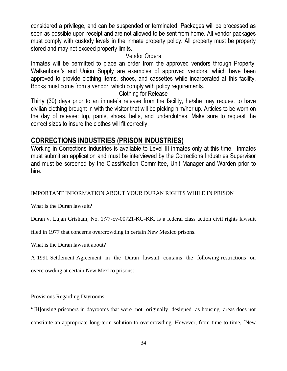considered a privilege, and can be suspended or terminated. Packages will be processed as soon as possible upon receipt and are not allowed to be sent from home. All vendor packages must comply with custody levels in the inmate property policy. All property must be property stored and may not exceed property limits.

# Vendor Orders

Inmates will be permitted to place an order from the approved vendors through Property. Walkenhorst's and Union Supply are examples of approved vendors, which have been approved to provide clothing items, shoes, and cassettes while incarcerated at this facility. Books must come from a vendor, which comply with policy requirements.

# Clothing for Release

Thirty (30) days prior to an inmate's release from the facility, he/she may request to have civilian clothing brought in with the visitor that will be picking him/her up. Articles to be worn on the day of release: top, pants, shoes, belts, and underclothes. Make sure to request the correct sizes to insure the clothes will fit correctly.

# **CORRECTIONS INDUSTRIES (PRISON INDUSTRIES)**

Working in Corrections Industries is available to Level III inmates only at this time. Inmates must submit an application and must be interviewed by the Corrections Industries Supervisor and must be screened by the Classification Committee, Unit Manager and Warden prior to hire.

# IMPORTANT INFORMATION ABOUT YOUR DURAN RIGHTS WHILE IN PRISON

What is the Duran lawsuit?

Duran v. Lujan Grisham, No. 1:77-cv-00721-KG-KK, is a federal class action civil rights lawsuit

filed in 1977 that concerns overcrowding in certain New Mexico prisons.

What is the Duran lawsuit about?

A 1991 Settlement Agreement in the Duran lawsuit contains the following restrictions on

overcrowding at certain New Mexico prisons:

Provisions Regarding Dayrooms:

"[H]ousing prisoners in dayrooms that were not originally designed as housing areas does not constitute an appropriate long-term solution to overcrowding. However, from time to time, [New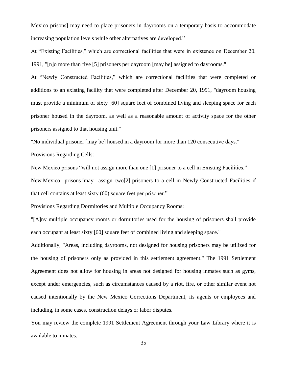Mexico prisons] may need to place prisoners in dayrooms on a temporary basis to accommodate increasing population levels while other alternatives are developed."

At "Existing Facilities," which are correctional facilities that were in existence on December 20, 1991, "[n]o more than five [5] prisoners per dayroom [may be] assigned to dayrooms."

At "Newly Constructed Facilities," which are correctional facilities that were completed or additions to an existing facility that were completed after December 20, 1991, "dayroom housing must provide a minimum of sixty [60] square feet of combined living and sleeping space for each prisoner housed in the dayroom, as well as a reasonable amount of activity space for the other prisoners assigned to that housing unit."

"No individual prisoner [may be] housed in a dayroom for more than 120 consecutive days."

Provisions Regarding Cells:

New Mexico prisons "will not assign more than one [1] prisoner to a cell in Existing Facilities."

New Mexico prisons "may assign two[2] prisoners to a cell in Newly Constructed Facilities if that cell contains at least sixty (60) square feet per prisoner."

Provisions Regarding Dormitories and Multiple Occupancy Rooms:

"[A]ny multiple occupancy rooms or dormitories used for the housing of prisoners shall provide each occupant at least sixty [60] square feet of combined living and sleeping space."

Additionally, "Areas, including dayrooms, not designed for housing prisoners may be utilized for the housing of prisoners only as provided in this settlement agreement." The 1991 Settlement Agreement does not allow for housing in areas not designed for housing inmates such as gyms, except under emergencies, such as circumstances caused by a riot, fire, or other similar event not caused intentionally by the New Mexico Corrections Department, its agents or employees and including, in some cases, construction delays or labor disputes.

You may review the complete 1991 Settlement Agreement through your Law Library where it is available to inmates.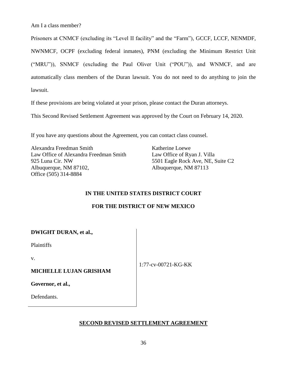Am I a class member?

Prisoners at CNMCF (excluding its "Level II facility" and the "Farm"), GCCF, LCCF, NENMDF, NWNMCF, OCPF (excluding federal inmates), PNM (excluding the Minimum Restrict Unit ("MRU")), SNMCF (excluding the Paul Oliver Unit ("POU")), and WNMCF, and are automatically class members of the Duran lawsuit. You do not need to do anything to join the lawsuit.

If these provisions are being violated at your prison, please contact the Duran attorneys.

This Second Revised Settlement Agreement was approved by the Court on February 14, 2020.

If you have any questions about the Agreement, you can contact class counsel.

Alexandra Freedman Smith Law Office of Alexandra Freedman Smith 925 Luna Cir. NW Albuquerque, NM 87102, Office (505) 314-8884

Katherine Loewe Law Office of Ryan J. Villa 5501 Eagle Rock Ave, NE, Suite C2 Albuquerque, NM 87113

#### **IN THE UNITED STATES DISTRICT COURT**

#### **FOR THE DISTRICT OF NEW MEXICO**

| <b>DWIGHT DURAN, et al.,</b> |  |  |  |
|------------------------------|--|--|--|
|------------------------------|--|--|--|

Plaintiffs

v.

#### **MICHELLE LUJAN GRISHAM**

1:77-cv-00721-KG-KK

**Governor, et al.,** 

Defendants.

#### **SECOND REVISED SETTLEMENT AGREEMENT**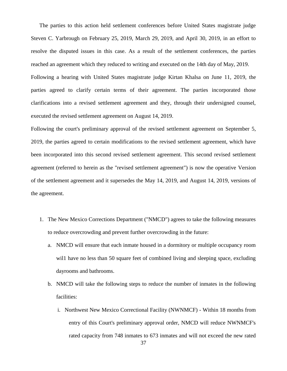The parties to this action held settlement conferences before United States magistrate judge Steven C. Yarbrough on February 25, 2019, March 29, 2019, and April 30, 2019, in an effort to resolve the disputed issues in this case. As a result of the settlement conferences, the parties reached an agreement which they reduced to writing and executed on the 14th day of May, 2019. Following a hearing with United States magistrate judge Kirtan Khalsa on June 11, 2019, the parties agreed to clarify certain terms of their agreement. The parties incorporated those clarifications into a revised settlement agreement and they, through their undersigned counsel, executed the revised settlement agreement on August 14, 2019.

Following the court's preliminary approval of the revised settlement agreement on September 5, 2019, the parties agreed to certain modifications to the revised settlement agreement, which have been incorporated into this second revised settlement agreement. This second revised settlement agreement (referred to herein as the "revised settlement agreement") is now the operative Version of the settlement agreement and it supersedes the May 14, 2019, and August 14, 2019, versions of the agreement.

- 1. The New Mexico Corrections Department ("NMCD") agrees to take the following measures to reduce overcrowding and prevent further overcrowding in the future:
	- a. NMCD will ensure that each inmate housed in a dormitory or multiple occupancy room will have no less than 50 square feet of combined living and sleeping space, excluding dayrooms and bathrooms.
	- b. NMCD will take the following steps to reduce the number of inmates in the following facilities:
		- i. Northwest New Mexico Correctional Facility (NWNMCF) Within 18 months from entry of this Court's preliminary approval order, NMCD will reduce NWNMCF's rated capacity from 748 inmates to 673 inmates and will not exceed the new rated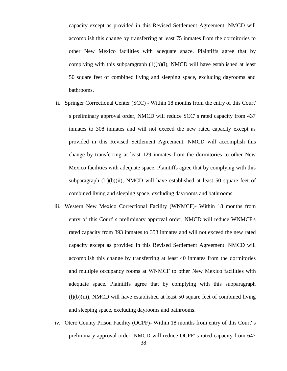capacity except as provided in this Revised Settlement Agreement. NMCD will accomplish this change by transferring at least 75 inmates from the dormitories to other New Mexico facilities with adequate space. Plaintiffs agree that by complying with this subparagraph  $(1)(b)(i)$ , NMCD will have established at least 50 square feet of combined living and sleeping space, excluding dayrooms and bathrooms.

- ii. Springer Correctional Center (SCC) Within 18 months from the entry of this Court' s preliminary approval order, NMCD will reduce SCC' s rated capacity from 437 inmates to 308 inmates and will not exceed the new rated capacity except as provided in this Revised Settlement Agreement. NMCD will accomplish this change by transferring at least 129 inmates from the dormitories to other New Mexico facilities with adequate space. Plaintiffs agree that by complying with this subparagraph  $(l)$  (b)(ii), NMCD will have established at least 50 square feet of combined living and sleeping space, excluding dayrooms and bathrooms.
- iii. Western New Mexico Correctional Facility (WNMCF)- Within 18 months from entry of this Court' s preliminary approval order, NMCD will reduce WNMCF's rated capacity from 393 inmates to 353 inmates and will not exceed the new rated capacity except as provided in this Revised Settlement Agreement. NMCD will accomplish this change by transferring at least 40 inmates from the dormitories and multiple occupancy rooms at WNMCF to other New Mexico facilities with adequate space. Plaintiffs agree that by complying with this subparagraph (l)(b)(iii), NMCD will have established at least 50 square feet of combined living and sleeping space, excluding dayrooms and bathrooms.
- iv. Otero County Prison Facility (OCPF)- Within 18 months from entry of this Court' s preliminary approval order, NMCD will reduce OCPF' s rated capacity from 647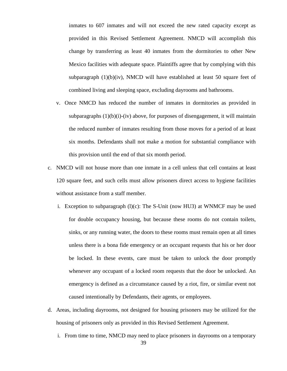inmates to 607 inmates and will not exceed the new rated capacity except as provided in this Revised Settlement Agreement. NMCD will accomplish this change by transferring as least 40 inmates from the dormitories to other New Mexico facilities with adequate space. Plaintiffs agree that by complying with this subparagraph (1)(b)(iv), NMCD will have established at least 50 square feet of combined living and sleeping space, excluding dayrooms and bathrooms.

- v. Once NMCD has reduced the number of inmates in dormitories as provided in subparagraphs  $(1)(b)(i)-(iv)$  above, for purposes of disengagement, it will maintain the reduced number of inmates resulting from those moves for a period of at least six months. Defendants shall not make a motion for substantial compliance with this provision until the end of that six month period.
- c. NMCD will not house more than one inmate in a cell unless that cell contains at least 120 square feet, and such cells must allow prisoners direct access to hygiene facilities without assistance from a staff member.
	- i. Exception to subparagraph  $(l)(c)$ : The S-Unit (now HU3) at WNMCF may be used for double occupancy housing, but because these rooms do not contain toilets, sinks, or any running water, the doors to these rooms must remain open at all times unless there is a bona fide emergency or an occupant requests that his or her door be locked. In these events, care must be taken to unlock the door promptly whenever any occupant of a locked room requests that the door be unlocked. An emergency is defined as a circumstance caused by a riot, fire, or similar event not caused intentionally by Defendants, their agents, or employees.
- d. Areas, including dayrooms, not designed for housing prisoners may be utilized for the housing of prisoners only as provided in this Revised Settlement Agreement.
	- i. From time to time, NMCD may need to place prisoners in dayrooms on a temporary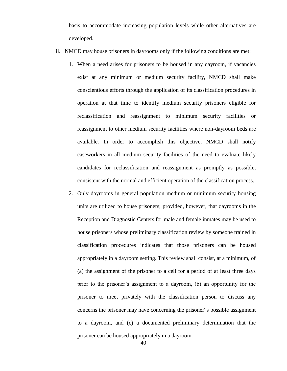basis to accommodate increasing population levels while other alternatives are developed.

- ii. NMCD may house prisoners in dayrooms only if the following conditions are met:
	- 1. When a need arises for prisoners to be housed in any dayroom, if vacancies exist at any minimum or medium security facility, NMCD shall make conscientious efforts through the application of its classification procedures in operation at that time to identify medium security prisoners eligible for reclassification and reassignment to minimum security facilities or reassignment to other medium security facilities where non-dayroom beds are available. In order to accomplish this objective, NMCD shall notify caseworkers in all medium security facilities of the need to evaluate likely candidates for reclassification and reassignment as promptly as possible, consistent with the normal and efficient operation of the classification process.
	- 2. Only dayrooms in general population medium or minimum security housing units are utilized to house prisoners; provided, however, that dayrooms in the Reception and Diagnostic Centers for male and female inmates may be used to house prisoners whose preliminary classification review by someone trained in classification procedures indicates that those prisoners can be housed appropriately in a dayroom setting. This review shall consist, at a minimum, of (a) the assignment of the prisoner to a cell for a period of at least three days prior to the prisoner's assignment to a dayroom, (b) an opportunity for the prisoner to meet privately with the classification person to discuss any concerns the prisoner may have concerning the prisoner' s possible assignment to a dayroom, and (c) a documented preliminary determination that the prisoner can be housed appropriately in a dayroom.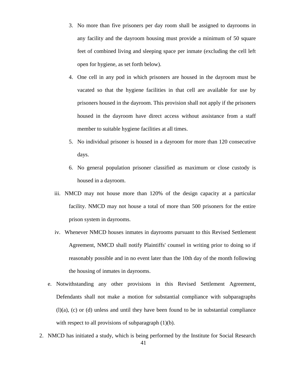- 3. No more than five prisoners per day room shall be assigned to dayrooms in any facility and the dayroom housing must provide a minimum of 50 square feet of combined living and sleeping space per inmate (excluding the cell left open for hygiene, as set forth below).
- 4. One cell in any pod in which prisoners are housed in the dayroom must be vacated so that the hygiene facilities in that cell are available for use by prisoners housed in the dayroom. This provision shall not apply if the prisoners housed in the dayroom have direct access without assistance from a staff member to suitable hygiene facilities at all times.
- 5. No individual prisoner is housed in a dayroom for more than 120 consecutive days.
- 6. No general population prisoner classified as maximum or close custody is housed in a dayroom.
- iii. NMCD may not house more than 120% of the design capacity at a particular facility. NMCD may not house a total of more than 500 prisoners for the entire prison system in dayrooms.
- iv. Whenever NMCD houses inmates in dayrooms pursuant to this Revised Settlement Agreement, NMCD shall notify Plaintiffs' counsel in writing prior to doing so if reasonably possible and in no event later than the 10th day of the month following the housing of inmates in dayrooms.
- e. Notwithstanding any other provisions in this Revised Settlement Agreement, Defendants shall not make a motion for substantial compliance with subparagraphs (l)(a), (c) or (d) unless and until they have been found to be in substantial compliance with respect to all provisions of subparagraph  $(1)(b)$ .
- 2. NMCD has initiated a study, which is being performed by the Institute for Social Research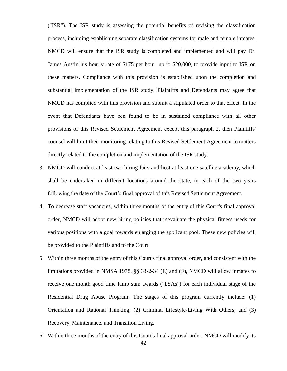("ISR"). The ISR study is assessing the potential benefits of revising the classification process, including establishing separate classification systems for male and female inmates. NMCD will ensure that the ISR study is completed and implemented and will pay Dr. James Austin his hourly rate of \$175 per hour, up to \$20,000, to provide input to ISR on these matters. Compliance with this provision is established upon the completion and substantial implementation of the ISR study. Plaintiffs and Defendants may agree that NMCD has complied with this provision and submit a stipulated order to that effect. In the event that Defendants have ben found to be in sustained compliance with all other provisions of this Revised Settlement Agreement except this paragraph 2, then Plaintiffs' counsel will limit their monitoring relating to this Revised Settlement Agreement to matters directly related to the completion and implementation of the ISR study.

- 3. NMCD will conduct at least two hiring fairs and host at least one satellite academy, which shall be undertaken in different locations around the state, in each of the two years following the date of the Court's final approval of this Revised Settlement Agreement.
- 4. To decrease staff vacancies, within three months of the entry of this Court's final approval order, NMCD will adopt new hiring policies that reevaluate the physical fitness needs for various positions with a goal towards enlarging the applicant pool. These new policies will be provided to the Plaintiffs and to the Court.
- 5. Within three months of the entry of this Court's final approval order, and consistent with the limitations provided in NMSA 1978, §§ 33-2-34 (E) and (F), NMCD will allow inmates to receive one month good time lump sum awards ("LSAs") for each individual stage of the Residential Drug Abuse Program. The stages of this program currently include: (1) Orientation and Rational Thinking; (2) Criminal Lifestyle-Living With Others; and (3) Recovery, Maintenance, and Transition Living.
- 6. Within three months of the entry of this Court's final approval order, NMCD will modify its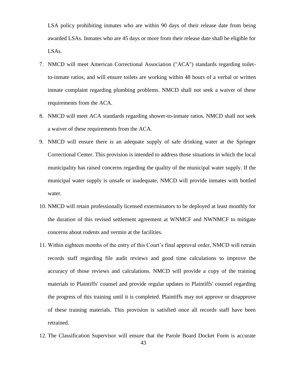LSA policy prohibiting inmates who are within 90 days of their release date from being awarded LSAs. Inmates who are 45 days or more from their release date shall be eligible for LSAs.

- 7. NMCD will meet American Correctional Association ("ACA") standards regarding toiletto-inmate ratios, and will ensure toilets are working within 48 hours of a verbal or written inmate complaint regarding plumbing problems. NMCD shall not seek a waiver of these requirements from the ACA.
- 8. NMCD will meet ACA standards regarding shower-to-inmate ratios. NMCD shall not seek a waiver of these requirements from the ACA.
- 9. NMCD will ensure there is an adequate supply of safe drinking water at the Springer Correctional Center. This provision is intended to address those situations in which the local municipality has raised concerns regarding the quality of the municipal water supply. If the municipal water supply is unsafe or inadequate, NMCD will provide inmates with bottled water.
- 10. NMCD will retain professionally licensed exterminators to be deployed at least monthly for the duration of this revised settlement agreement at WNMCF and NWNMCF to mitigate concerns about rodents and vermin at the facilities.
- 11. Within eighteen months of the entry of this Court's final approval order, NMCD will retrain records staff regarding file audit reviews and good time calculations to improve the accuracy of those reviews and calculations. NMCD will provide a copy of the training materials to Plaintiffs' counsel and provide regular updates to Plaintiffs' counsel regarding the progress of this training until it is completed. Plaintiffs may not approve or disapprove of these training materials. This provision is satisfied once all records staff have been retrained.
- 12. The Classification Supervisor will ensure that the Parole Board Docket Form is accurate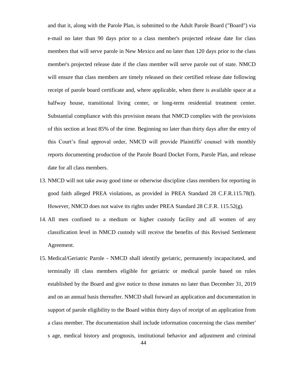and that it, along with the Parole Plan, is submitted to the Adult Parole Board ("Board") via e-mail no later than 90 days prior to a class member's projected release date for class members that will serve parole in New Mexico and no later than 120 days prior to the class member's projected release date if the class member will serve parole out of state. NMCD will ensure that class members are timely released on their certified release date following receipt of parole board certificate and, where applicable, when there is available space at a halfway house, transitional living center, or long-term residential treatment center. Substantial compliance with this provision means that NMCD complies with the provisions of this section at least 85% of the time. Beginning no later than thirty days after the entry of this Court's final approval order, NMCD will provide Plaintiffs' counsel with monthly reports documenting production of the Parole Board Docket Form, Parole Plan, and release date for all class members.

- 13. NMCD will not take away good time or otherwise discipline class members for reporting in good faith alleged PREA violations, as provided in PREA Standard 28 C.F.R.115.78(f). However, NMCD does not waive its rights under PREA Standard 28 C.F.R.  $115.52(g)$ .
- 14. All men confined to a medium or higher custody facility and all women of any classification level in NMCD custody will receive the benefits of this Revised Settlement Agreement.
- 15. Medical/Geriatric Parole NMCD shall identify geriatric, permanently incapacitated, and terminally ill class members eligible for geriatric or medical parole based on rules established by the Board and give notice to those inmates no later than December 31, 2019 and on an annual basis thereafter. NMCD shall forward an application and documentation in support of parole eligibility to the Board within thirty days of receipt of an application from a class member. The documentation shall include information concerning the class member' s age, medical history and prognosis, institutional behavior and adjustment and criminal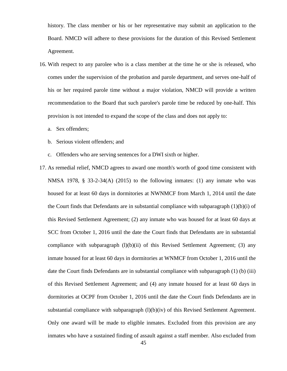history. The class member or his or her representative may submit an application to the Board. NMCD will adhere to these provisions for the duration of this Revised Settlement Agreement.

- 16. With respect to any parolee who is a class member at the time he or she is released, who comes under the supervision of the probation and parole department, and serves one-half of his or her required parole time without a major violation, NMCD will provide a written recommendation to the Board that such parolee's parole time be reduced by one-half. This provision is not intended to expand the scope of the class and does not apply to:
	- a. Sex offenders;
	- b. Serious violent offenders; and
	- c. Offenders who are serving sentences for a DWI sixth or higher.
- 17. As remedial relief, NMCD agrees to award one month's worth of good time consistent with NMSA 1978, § 33-2-34(A) (2015) to the following inmates: (1) any inmate who was housed for at least 60 days in dormitories at NWNMCF from March 1, 2014 until the date the Court finds that Defendants are in substantial compliance with subparagraph  $(1)(b)(i)$  of this Revised Settlement Agreement; (2) any inmate who was housed for at least 60 days at SCC from October 1, 2016 until the date the Court finds that Defendants are in substantial compliance with subparagraph  $(l)(b)(ii)$  of this Revised Settlement Agreement; (3) any inmate housed for at least 60 days in dormitories at WNMCF from October 1, 2016 until the date the Court finds Defendants are in substantial compliance with subparagraph (1) (b) (iii) of this Revised Settlement Agreement; and (4) any inmate housed for at least 60 days in dormitories at OCPF from October 1, 2016 until the date the Court finds Defendants are in substantial compliance with subparagraph (l)(b)(iv) of this Revised Settlement Agreement. Only one award will be made to eligible inmates. Excluded from this provision are any inmates who have a sustained finding of assault against a staff member. Also excluded from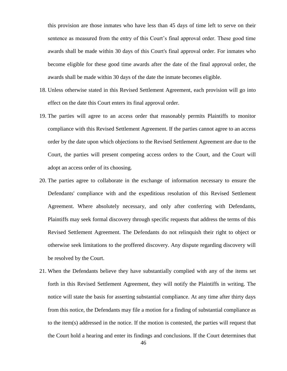this provision are those inmates who have less than 45 days of time left to serve on their sentence as measured from the entry of this Court's final approval order. These good time awards shall be made within 30 days of this Court's final approval order. For inmates who become eligible for these good time awards after the date of the final approval order, the awards shall be made within 30 days of the date the inmate becomes eligible.

- 18. Unless otherwise stated in this Revised Settlement Agreement, each provision will go into effect on the date this Court enters its final approval order.
- 19. The parties will agree to an access order that reasonably permits Plaintiffs to monitor compliance with this Revised Settlement Agreement. If the parties cannot agree to an access order by the date upon which objections to the Revised Settlement Agreement are due to the Court, the parties will present competing access orders to the Court, and the Court will adopt an access order of its choosing.
- 20. The parties agree to collaborate in the exchange of information necessary to ensure the Defendants' compliance with and the expeditious resolution of this Revised Settlement Agreement. Where absolutely necessary, and only after conferring with Defendants, Plaintiffs may seek formal discovery through specific requests that address the terms of this Revised Settlement Agreement. The Defendants do not relinquish their right to object or otherwise seek limitations to the proffered discovery. Any dispute regarding discovery will be resolved by the Court.
- 21. When the Defendants believe they have substantially complied with any of the items set forth in this Revised Settlement Agreement, they will notify the Plaintiffs in writing. The notice will state the basis for asserting substantial compliance. At any time after thirty days from this notice, the Defendants may file a motion for a finding of substantial compliance as to the item(s) addressed in the notice. If the motion is contested, the parties will request that the Court hold a hearing and enter its findings and conclusions. If the Court determines that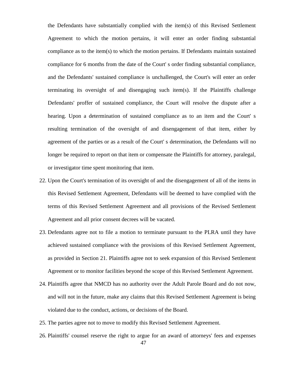the Defendants have substantially complied with the item(s) of this Revised Settlement Agreement to which the motion pertains, it will enter an order finding substantial compliance as to the item(s) to which the motion pertains. If Defendants maintain sustained compliance for 6 months from the date of the Court' s order finding substantial compliance, and the Defendants' sustained compliance is unchallenged, the Court's will enter an order terminating its oversight of and disengaging such item(s). If the Plaintiffs challenge Defendants' proffer of sustained compliance, the Court will resolve the dispute after a hearing. Upon a determination of sustained compliance as to an item and the Court' s resulting termination of the oversight of and disengagement of that item, either by agreement of the parties or as a result of the Court' s determination, the Defendants will no longer be required to report on that item or compensate the Plaintiffs for attorney, paralegal, or investigator time spent monitoring that item.

- 22. Upon the Court's termination of its oversight of and the disengagement of all of the items in this Revised Settlement Agreement, Defendants will be deemed to have complied with the terms of this Revised Settlement Agreement and all provisions of the Revised Settlement Agreement and all prior consent decrees will be vacated.
- 23. Defendants agree not to file a motion to terminate pursuant to the PLRA until they have achieved sustained compliance with the provisions of this Revised Settlement Agreement, as provided in Section 21. Plaintiffs agree not to seek expansion of this Revised Settlement Agreement or to monitor facilities beyond the scope of this Revised Settlement Agreement.
- 24. Plaintiffs agree that NMCD has no authority over the Adult Parole Board and do not now, and will not in the future, make any claims that this Revised Settlement Agreement is being violated due to the conduct, actions, or decisions of the Board.
- 25. The parties agree not to move to modify this Revised Settlement Agreement.
- 26. Plaintiffs' counsel reserve the right to argue for an award of attorneys' fees and expenses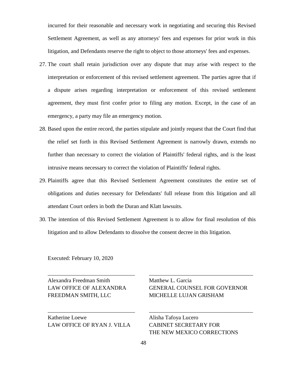incurred for their reasonable and necessary work in negotiating and securing this Revised Settlement Agreement, as well as any attorneys' fees and expenses for prior work in this litigation, and Defendants reserve the right to object to those attorneys' fees and expenses.

- 27. The court shall retain jurisdiction over any dispute that may arise with respect to the interpretation or enforcement of this revised settlement agreement. The parties agree that if a dispute arises regarding interpretation or enforcement of this revised settlement agreement, they must first confer prior to filing any motion. Except, in the case of an emergency, a party may file an emergency motion.
- 28. Based upon the entire record, the parties stipulate and jointly request that the Court find that the relief set forth in this Revised Settlement Agreement is narrowly drawn, extends no further than necessary to correct the violation of Plaintiffs' federal rights, and is the least intrusive means necessary to correct the violation of Plaintiffs' federal rights.
- 29. Plaintiffs agree that this Revised Settlement Agreement constitutes the entire set of obligations and duties necessary for Defendants' full release from this litigation and all attendant Court orders in both the Duran and Klatt lawsuits.
- 30. The intention of this Revised Settlement Agreement is to allow for final resolution of this litigation and to allow Defendants to dissolve the consent decree in this litigation.

\_\_\_\_\_\_\_\_\_\_\_\_\_\_\_\_\_\_\_\_\_\_\_\_\_\_\_\_\_\_\_ \_\_\_\_\_\_\_\_\_\_\_\_\_\_\_\_\_\_\_\_\_\_\_\_\_\_\_\_\_\_\_\_\_\_\_\_\_

\_\_\_\_\_\_\_\_\_\_\_\_\_\_\_\_\_\_\_\_\_\_\_\_\_\_\_\_\_\_\_ \_\_\_\_\_\_\_\_\_\_\_\_\_\_\_\_\_\_\_\_\_\_\_\_\_\_\_\_\_\_\_\_\_\_\_\_\_

Executed: February 10, 2020

Alexandra Freedman Smith Matthew L. Garcia FREEDMAN SMITH, LLC MICHELLE LUJAN GRISHAM

Katherine Loewe Alisha Tafoya Lucero LAW OFFICE OF RYAN J. VILLA CABINET SECRETARY FOR

LAW OFFICE OF ALEXANDRA GENERAL COUNSEL FOR GOVERNOR

THE NEW MEXICO CORRECTIONS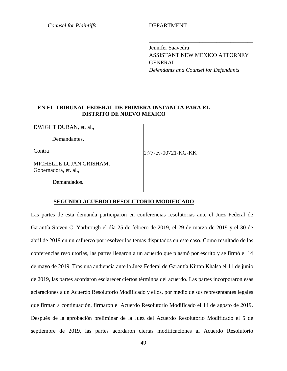*Counsel for Plaintiffs* DEPARTMENT

Jennifer Saavedra ASSISTANT NEW MEXICO ATTORNEY **GENERAL** *Defendants and Counsel for Defendants*

\_\_\_\_\_\_\_\_\_\_\_\_\_\_\_\_\_\_\_\_\_\_\_\_\_\_\_\_\_\_\_\_\_\_\_\_\_

#### **EN EL TRIBUNAL FEDERAL DE PRIMERA INSTANCIA PARA EL DISTRITO DE NUEVO MÉXICO**

DWIGHT DURAN, et. al.,

Demandantes,

**Contra** 

1:77-cv-00721-KG-KK

Demandados.

Gobernadora, et. al.,

MICHELLE LUJAN GRISHAM,

#### **SEGUNDO ACUERDO RESOLUTORIO MODIFICADO**

Las partes de esta demanda participaron en conferencias resolutorias ante el Juez Federal de Garantía Steven C. Yarbrough el día 25 de febrero de 2019, el 29 de marzo de 2019 y el 30 de abril de 2019 en un esfuerzo por resolver los temas disputados en este caso. Como resultado de las conferencias resolutorias, las partes llegaron a un acuerdo que plasmó por escrito y se firmó el 14 de mayo de 2019. Tras una audiencia ante la Juez Federal de Garantía Kirtan Khalsa el 11 de junio de 2019, las partes acordaron esclarecer ciertos términos del acuerdo. Las partes incorporaron esas aclaraciones a un Acuerdo Resolutorio Modificado y ellos, por medio de sus representantes legales que firman a continuación, firmaron el Acuerdo Resolutorio Modificado el 14 de agosto de 2019. Después de la aprobación preliminar de la Juez del Acuerdo Resolutorio Modificado el 5 de septiembre de 2019, las partes acordaron ciertas modificaciones al Acuerdo Resolutorio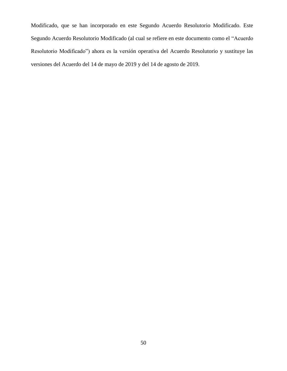Modificado, que se han incorporado en este Segundo Acuerdo Resolutorio Modificado. Este Segundo Acuerdo Resolutorio Modificado (al cual se refiere en este documento como el "Acuerdo Resolutorio Modificado") ahora es la versión operativa del Acuerdo Resolutorio y sustituye las versiones del Acuerdo del 14 de mayo de 2019 y del 14 de agosto de 2019.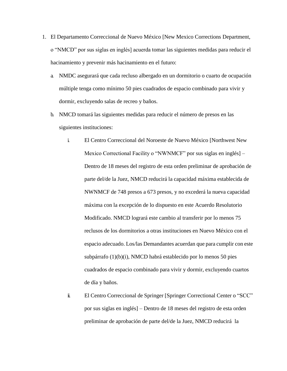- 1. El Departamento Correccional de Nuevo México [New Mexico Corrections Department, o "NMCD" por sus siglas en inglés] acuerda tomar las siguientes medidas para reducir el hacinamiento y prevenir más hacinamiento en el futuro:
	- a. NMDC asegurará que cada recluso albergado en un dormitorio o cuarto de ocupación múltiple tenga como mínimo 50 pies cuadrados de espacio combinado para vivir y dormir, excluyendo salas de recreo y baños.
	- b. NMCD tomará las siguientes medidas para reducir el número de presos en las siguientes instituciones:
		- i. El Centro Correccional del Noroeste de Nuevo México [Northwest New Mexico Correctional Facility o "NWNMCF" por sus siglas en inglés] – Dentro de 18 meses del registro de esta orden preliminar de aprobación de parte del/de la Juez, NMCD reducirá la capacidad máxima establecida de NWNMCF de 748 presos a 673 presos, y no excederá la nueva capacidad máxima con la excepción de lo dispuesto en este Acuerdo Resolutorio Modificado. NMCD logrará este cambio al transferir por lo menos 75 reclusos de los dormitorios a otras instituciones en Nuevo México con el espacio adecuado. Los/las Demandantes acuerdan que para cumplir con este subpárrafo (1)(b)(i), NMCD habrá establecido por lo menos 50 pies cuadrados de espacio combinado para vivir y dormir, excluyendo cuartos de día y baños.
		- ii. El Centro Correccional de Springer [Springer Correctional Center o "SCC" por sus siglas en inglés] – Dentro de 18 meses del registro de esta orden preliminar de aprobación de parte del/de la Juez, NMCD reducirá la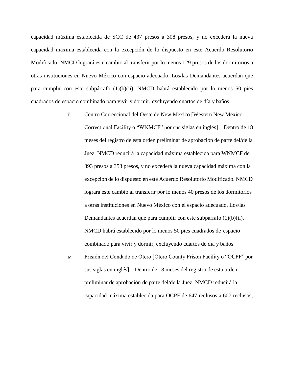capacidad máxima establecida de SCC de 437 presos a 308 presos, y no excederá la nueva capacidad máxima establecida con la excepción de lo dispuesto en este Acuerdo Resolutorio Modificado. NMCD logrará este cambio al transferir por lo menos 129 presos de los dormitorios a otras instituciones en Nuevo México con espacio adecuado. Los/las Demandantes acuerdan que para cumplir con este subpárrafo (1)(b)(ii), NMCD habrá establecido por lo menos 50 pies cuadrados de espacio combinado para vivir y dormir, excluyendo cuartos de día y baños.

- iii. Centro Correccional del Oeste de New Mexico [Western New Mexico Correctional Facility o "WNMCF" por sus siglas en inglés] – Dentro de 18 meses del registro de esta orden preliminar de aprobación de parte del/de la Juez, NMCD reducirá la capacidad máxima establecida para WNMCF de 393 presos a 353 presos, y no excederá la nueva capacidad máxima con la excepción de lo dispuesto en este Acuerdo Resolutorio Modificado. NMCD logrará este cambio al transferir por lo menos 40 presos de los dormitorios a otras instituciones en Nuevo México con el espacio adecuado. Los/las Demandantes acuerdan que para cumplir con este subpárrafo (1)(b)(ii), NMCD habrá establecido por lo menos 50 pies cuadrados de espacio combinado para vivir y dormir, excluyendo cuartos de día y baños.
- iv. Prisión del Condado de Otero [Otero County Prison Facility o "OCPF" por sus siglas en inglés] – Dentro de 18 meses del registro de esta orden preliminar de aprobación de parte del/de la Juez, NMCD reducirá la capacidad máxima establecida para OCPF de 647 reclusos a 607 reclusos,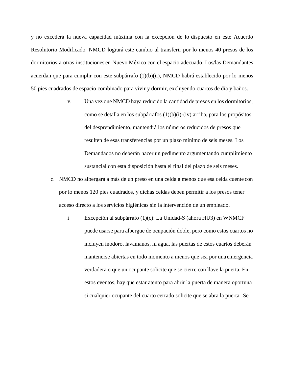y no excederá la nueva capacidad máxima con la excepción de lo dispuesto en este Acuerdo Resolutorio Modificado. NMCD logrará este cambio al transferir por lo menos 40 presos de los dormitorios a otras instituciones en Nuevo México con el espacio adecuado. Los/las Demandantes acuerdan que para cumplir con este subpárrafo (1)(b)(ii), NMCD habrá establecido por lo menos 50 pies cuadrados de espacio combinado para vivir y dormir, excluyendo cuartos de día y baños.

- v. Una vez que NMCD haya reducido la cantidad de presos en los dormitorios, como se detalla en los subpárrafos (1)(b)(i)-(iv) arriba, para los propósitos del desprendimiento, mantendrá los números reducidos de presos que resulten de esas transferencias por un plazo mínimo de seis meses. Los Demandados no deberán hacer un pedimento argumentando cumplimiento sustancial con esta disposición hasta el final del plazo de seis meses.
- c. NMCD no albergará a más de un preso en una celda a menos que esa celda cuente con por lo menos 120 pies cuadrados, y dichas celdas deben permitir a los presos tener acceso directo a los servicios higiénicas sin la intervención de un empleado.
	- i. Excepción al subpárrafo (1)(c): La Unidad-S (ahora HU3) en WNMCF puede usarse para albergue de ocupación doble, pero como estos cuartos no incluyen inodoro, lavamanos, ni agua, las puertas de estos cuartos deberán mantenerse abiertas en todo momento a menos que sea por una emergencia verdadera o que un ocupante solicite que se cierre con llave la puerta. En estos eventos, hay que estar atento para abrir la puerta de manera oportuna si cualquier ocupante del cuarto cerrado solicite que se abra la puerta. Se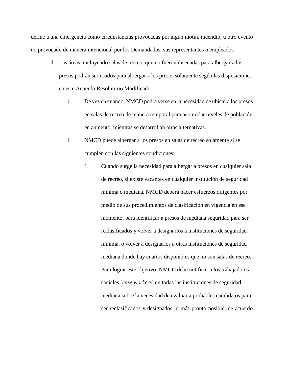define a una emergencia como circunstancias provocadas por algún motín, incendio, u otro evento no provocado de manera intencional por los Demandados, sus representantes o empleados.

- d. Las áreas, incluyendo salas de recreo, que no fueron diseñadas para albergar a los presos podrán ser usados para albergar a los presos solamente según las disposiciones en este Acuerdo Resolutorio Modificado.
	- i. De vez en cuando, NMCD podrá verse en la necesidad de ubicar a los presos en salas de recreo de manera temporal para acomodar niveles de población en aumento, mientras se desarrollan otras alternativas.
	- ii. NMCD puede albergar a los presos en salas de recreo solamente si se cumplen con las siguientes condiciones:
		- 1. Cuando surge la necesidad para albergar a presos en cualquier sala de recreo, si existe vacantes en cualquier institución de seguridad mínima o mediana, NMCD deberá hacer esfuerzos diligentes por medio de sus procedimientos de clasificación en vigencia en ese momento, para identificar a presos de mediana seguridad para ser reclasificados y volver a designarlos a instituciones de seguridad mínima, o volver a designarlos a otras instituciones de seguridad mediana donde hay cuartos disponibles que no son salas de recreo. Para lograr este objetivo, NMCD debe notificar a los trabajadores sociales [*case workers*] en todas las instituciones de seguridad mediana sobre la necesidad de evaluar a probables candidatos para ser reclasificados y designados lo más pronto posible, de acuerdo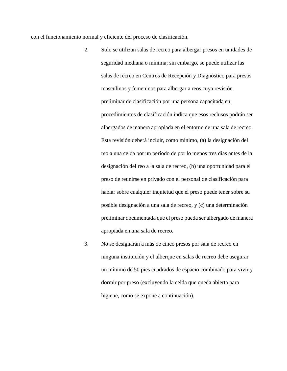con el funcionamiento normal y eficiente del proceso de clasificación.

- 2. Solo se utilizan salas de recreo para albergar presos en unidades de seguridad mediana o mínima; sin embargo, se puede utilizar las salas de recreo en Centros de Recepción y Diagnóstico para presos masculinos y femeninos para albergar a reos cuya revisión preliminar de clasificación por una persona capacitada en procedimientos de clasificación indica que esos reclusos podrán ser albergados de manera apropiada en el entorno de una sala de recreo. Esta revisión deberá incluir, como mínimo, (a) la designación del reo a una celda por un período de por lo menos tres días antes de la designación del reo a la sala de recreo, (b) una oportunidad para el preso de reunirse en privado con el personal de clasificación para hablar sobre cualquier inquietud que el preso puede tener sobre su posible designación a una sala de recreo, y (c) una determinación preliminar documentada que el preso pueda ser albergado de manera apropiada en una sala de recreo.
- 3. No se designarán a más de cinco presos por sala de recreo en ninguna institución y el alberque en salas de recreo debe asegurar un mínimo de 50 pies cuadrados de espacio combinado para vivir y dormir por preso (excluyendo la celda que queda abierta para higiene, como se expone a continuación).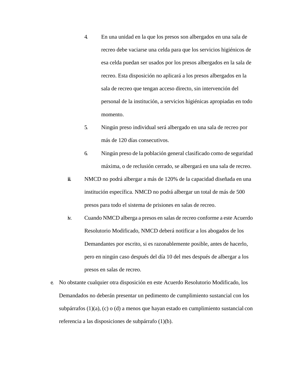- 4. En una unidad en la que los presos son albergados en una sala de recreo debe vaciarse una celda para que los servicios higiénicos de esa celda puedan ser usados por los presos albergados en la sala de recreo. Esta disposición no aplicará a los presos albergados en la sala de recreo que tengan acceso directo, sin intervención del personal de la institución, a servicios higiénicas apropiadas en todo momento.
- 5. Ningún preso individual será albergado en una sala de recreo por más de 120 días consecutivos.
- 6. Ningún preso de la población general clasificado como de seguridad máxima, o de reclusión cerrado, se albergará en una sala de recreo.
- iii. NMCD no podrá albergar a más de 120% de la capacidad diseñada en una institución específica. NMCD no podrá albergar un total de más de 500 presos para todo el sistema de prisiones en salas de recreo.
- iv. Cuando NMCD alberga a presos en salas de recreo conforme a este Acuerdo Resolutorio Modificado, NMCD deberá notificar a los abogados de los Demandantes por escrito, si es razonablemente posible, antes de hacerlo, pero en ningún caso después del día 10 del mes después de albergar a los presos en salas de recreo.
- e. No obstante cualquier otra disposición en este Acuerdo Resolutorio Modificado, los Demandados no deberán presentar un pedimento de cumplimiento sustancial con los subpárrafos (1)(a), (c) o (d) a menos que hayan estado en cumplimiento sustancial con referencia a las disposiciones de subpárrafo (1)(b).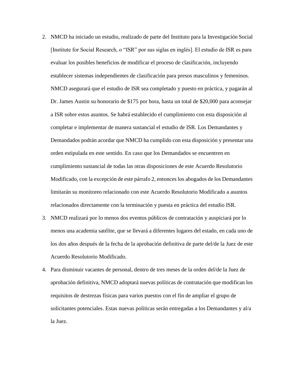- 2. NMCD ha iniciado un estudio, realizado de parte del Instituto para la Investigación Social [Institute for Social Research, o "ISR" por sus siglas en inglés]. El estudio de ISR es para evaluar los posibles beneficios de modificar el proceso de clasificación, incluyendo establecer sistemas independientes de clasificación para presos masculinos y femeninos. NMCD asegurará que el estudio de ISR sea completado y puesto en práctica, y pagarán al Dr. James Austin su honorario de \$175 por hora, hasta un total de \$20,000 para aconsejar a ISR sobre estos asuntos. Se habrá establecido el cumplimiento con esta disposición al completar e implementar de manera sustancial el estudio de ISR. Los Demandantes y Demandados podrán acordar que NMCD ha cumplido con esta disposición y presentar una orden estipulada en este sentido. En caso que los Demandados se encuentren en cumplimiento sustancial de todas las otras disposiciones de este Acuerdo Resolutorio Modificado, con la excepción de este párrafo 2, entonces los abogados de los Demandantes limitarán su monitoreo relacionado con este Acuerdo Resolutorio Modificado a asuntos relacionados directamente con la terminación y puesta en práctica del estudio ISR.
- 3. NMCD realizará por lo menos dos eventos públicos de contratación y auspiciará por lo menos una academia satélite, que se llevará a diferentes lugares del estado, en cada uno de los dos años después de la fecha de la aprobación definitiva de parte del/de la Juez de este Acuerdo Resolutorio Modificado.
- 4. Para disminuir vacantes de personal, dentro de tres meses de la orden del/de la Juez de aprobación definitiva, NMCD adoptará nuevas políticas de contratación que modifican los requisitos de destrezas físicas para varios puestos con el fin de ampliar el grupo de solicitantes potenciales. Estas nuevas políticas serán entregadas a los Demandantes y al/a la Juez.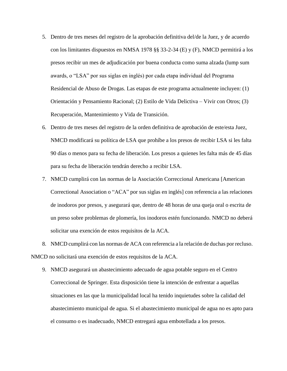- 5. Dentro de tres meses del registro de la aprobación definitiva del/de la Juez, y de acuerdo con los limitantes dispuestos en NMSA 1978 §§ 33-2-34 (E) y (F), NMCD permitirá a los presos recibir un mes de adjudicación por buena conducta como suma alzada (lump sum awards, o "LSA" por sus siglas en inglés) por cada etapa individual del Programa Residencial de Abuso de Drogas. Las etapas de este programa actualmente incluyen: (1) Orientación y Pensamiento Racional; (2) Estilo de Vida Delictiva – Vivir con Otros; (3) Recuperación, Mantenimiento y Vida de Transición.
- 6. Dentro de tres meses del registro de la orden definitiva de aprobación de este/esta Juez, NMCD modificará su política de LSA que prohíbe a los presos de recibir LSA si les falta 90 días o menos para su fecha de liberación. Los presos a quienes les falta más de 45 días para su fecha de liberación tendrán derecho a recibir LSA.
- 7. NMCD cumplirá con las normas de la Asociación Correccional Americana [American Correctional Association o "ACA" por sus siglas en inglés] con referencia a las relaciones de inodoros por presos, y asegurará que, dentro de 48 horas de una queja oral o escrita de un preso sobre problemas de plomería, los inodoros estén funcionando. NMCD no deberá solicitar una exención de estos requisitos de la ACA.
- 8. NMCD cumplirá con las normas de ACA con referencia a la relación de duchas por recluso. NMCD no solicitará una exención de estos requisitos de la ACA.
	- 9. NMCD asegurará un abastecimiento adecuado de agua potable seguro en el Centro Correccional de Springer. Esta disposición tiene la intención de enfrentar a aquellas situaciones en las que la municipalidad local ha tenido inquietudes sobre la calidad del abastecimiento municipal de agua. Si el abastecimiento municipal de agua no es apto para el consumo o es inadecuado, NMCD entregará agua embotellada a los presos.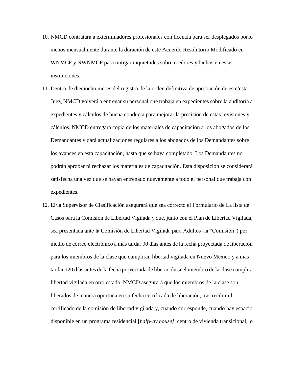- 10. NMCD contratará a exterminadores profesionales con licencia para ser desplegados porlo menos mensualmente durante la duración de este Acuerdo Resolutorio Modificado en WNMCF y NWNMCF para mitigar inquietudes sobre roedores y bichos en estas instituciones.
- 11. Dentro de dieciocho meses del registro de la orden definitiva de aprobación de este/esta Juez, NMCD volverá a entrenar su personal que trabaja en expedientes sobre la auditoría a expedientes y cálculos de buena conducta para mejorar la precisión de estas revisiones y cálculos. NMCD entregará copia de los materiales de capacitación a los abogados de los Demandantes y dará actualizaciones regulares a los abogados de los Demandantes sobre los avances en esta capacitación, hasta que se haya completado. Los Demandantes no podrán aprobar ni rechazar los materiales de capacitación. Esta disposición se considerará satisfecha una vez que se hayan entrenado nuevamente a todo el personal que trabaja con expedientes.
- 12. El/la Supervisor de Clasificación asegurará que sea correcto el Formulario de La lista de Casos para la Comisión de Libertad Vigilada y que, junto con el Plan de Libertad Vigilada, sea presentada ante la Comisión de Libertad Vigilada para Adultos (la "Comisión") por medio de correo electrónico a más tardar 90 días antes de la fecha proyectada de liberación para los miembros de la clase que cumplirán libertad vigilada en Nuevo México y a más tardar 120 días antes de la fecha proyectada de liberación si el miembro de la clase cumplirá libertad vigilada en otro estado. NMCD asegurará que los miembros de la clase son liberados de manera oportuna en su fecha certificada de liberación, tras recibir el certificado de la comisión de libertad vigilada y, cuando corresponde, cuando hay espacio disponible en un programa residencial [*halfway house],* centro de vivienda transicional, o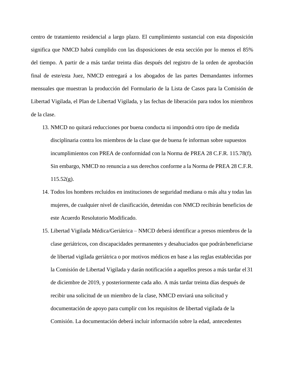centro de tratamiento residencial a largo plazo. El cumplimiento sustancial con esta disposición significa que NMCD habrá cumplido con las disposiciones de esta sección por lo menos el 85% del tiempo. A partir de a más tardar treinta días después del registro de la orden de aprobación final de este/esta Juez, NMCD entregará a los abogados de las partes Demandantes informes mensuales que muestran la producción del Formulario de la Lista de Casos para la Comisión de Libertad Vigilada, el Plan de Libertad Vigilada, y las fechas de liberación para todos los miembros de la clase.

- 13. NMCD no quitará reducciones por buena conducta ni impondrá otro tipo de medida disciplinaria contra los miembros de la clase que de buena fe informan sobre supuestos incumplimientos con PREA de conformidad con la Norma de PREA 28 C.F.R. 115.78(f). Sin embargo, NMCD no renuncia a sus derechos conforme a la Norma de PREA 28 C.F.R.  $115.52(g)$ .
- 14. Todos los hombres recluidos en instituciones de seguridad mediana o más alta y todas las mujeres, de cualquier nivel de clasificación, detenidas con NMCD recibirán beneficios de este Acuerdo Resolutorio Modificado.
- 15. Libertad Vigilada Médica/Geriátrica NMCD deberá identificar a presos miembros de la clase geriátricos, con discapacidades permanentes y desahuciados que podránbeneficiarse de libertad vigilada geriátrica o por motivos médicos en base a las reglas establecidas por la Comisión de Libertad Vigilada y darán notificación a aquellos presos a más tardar el 31 de diciembre de 2019, y posteriormente cada año. A más tardar treinta días después de recibir una solicitud de un miembro de la clase, NMCD enviará una solicitud y documentación de apoyo para cumplir con los requisitos de libertad vigilada de la Comisión. La documentación deberá incluir información sobre la edad, antecedentes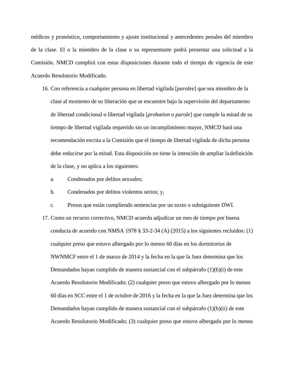médicos y pronóstico, comportamiento y ajuste institucional y antecedentes penales del miembro de la clase. El o la miembro de la clase o su representante podrá presentar una solicitud a la Comisión. NMCD cumplirá con estas disposiciones durante todo el tiempo de vigencia de este Acuerdo Resolutorio Modificado.

- 16. Con referencia a cualquier persona en libertad vigilada [*parolee*] que sea miembro de la clase al momento de su liberación que se encuentre bajo la supervisión del departamento de libertad condicional o libertad vigilada [*probation* o *parole*] que cumple la mitad de su tiempo de libertad vigilada requerido sin un incumplimiento mayor, NMCD hará una recomendación escrita a la Comisión que el tiempo de libertad vigilada de dicha persona debe reducirse por la mitad. Esta disposición no tiene la intención de ampliar ladefinición de la clase, y no aplica a los siguientes:
	- a. Condenados por delitos sexuales;
	- b. Condenados por delitos violentos serios; y,
	- c. Presos que están cumpliendo sentencias por un sexto o subsiguiente DWI.
- 17. Como un recurso correctivo, NMCD acuerda adjudicar un mes de tiempo por buena conducta de acuerdo con NMSA 1978 § 33-2-34 (A) (2015) a los siguientes recluidos: (1) cualquier preso que estuvo albergado por lo menos 60 días en los dormitorios de NWNMCF entre el 1 de marzo de 2014 y la fecha en la que la Juez determina que los Demandados hayan cumplido de manera sustancial con el subpárrafo (1)(b)(i) de este Acuerdo Resolutorio Modificado; (2) cualquier preso que estuvo albergado por lo menos 60 días en SCC entre el 1 de octubre de 2016 y la fecha en la que la Juez determina que los Demandados hayan cumplido de manera sustancial con el subpárrafo (1)(b)(ii) de este Acuerdo Resolutorio Modificado; (3) cualquier preso que estuvo albergado por lo menos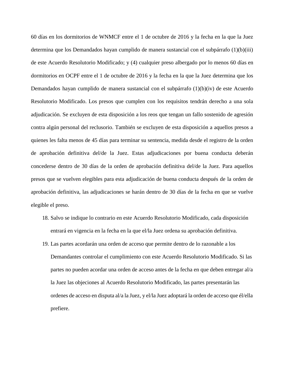60 días en los dormitorios de WNMCF entre el 1 de octubre de 2016 y la fecha en la que la Juez determina que los Demandados hayan cumplido de manera sustancial con el subpárrafo (1)(b)(iii) de este Acuerdo Resolutorio Modificado; y (4) cualquier preso albergado por lo menos 60 días en dormitorios en OCPF entre el 1 de octubre de 2016 y la fecha en la que la Juez determina que los Demandados hayan cumplido de manera sustancial con el subpárrafo (1)(b)(iv) de este Acuerdo Resolutorio Modificado. Los presos que cumplen con los requisitos tendrán derecho a una sola adjudicación. Se excluyen de esta disposición a los reos que tengan un fallo sostenido de agresión contra algún personal del reclusorio. También se excluyen de esta disposición a aquellos presos a quienes les falta menos de 45 días para terminar su sentencia, medida desde el registro de la orden de aprobación definitiva del/de la Juez. Estas adjudicaciones por buena conducta deberán concederse dentro de 30 días de la orden de aprobación definitiva del/de la Juez. Para aquellos presos que se vuelven elegibles para esta adjudicación de buena conducta después de la orden de aprobación definitiva, las adjudicaciones se harán dentro de 30 días de la fecha en que se vuelve elegible el preso.

- 18. Salvo se indique lo contrario en este Acuerdo Resolutorio Modificado, cada disposición entrará en vigencia en la fecha en la que el/la Juez ordena su aprobación definitiva.
- 19. Las partes acordarán una orden de acceso que permite dentro de lo razonable a los Demandantes controlar el cumplimiento con este Acuerdo Resolutorio Modificado. Si las partes no pueden acordar una orden de acceso antes de la fecha en que deben entregar al/a la Juez las objeciones al Acuerdo Resolutorio Modificado, las partes presentarán las ordenes de acceso en disputa al/a la Juez, y el/la Juez adoptará la orden de acceso que él/ella prefiere.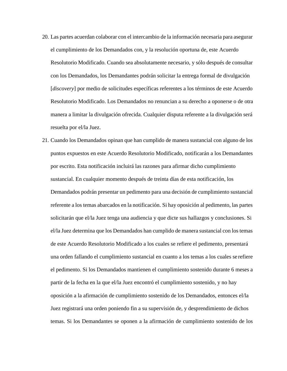- 20. Las partes acuerdan colaborar con el intercambio de la información necesaria para asegurar el cumplimiento de los Demandados con, y la resolución oportuna de, este Acuerdo Resolutorio Modificado. Cuando sea absolutamente necesario, y sólo después de consultar con los Demandados, los Demandantes podrán solicitar la entrega formal de divulgación [*discovery*] por medio de solicitudes específicas referentes a los términos de este Acuerdo Resolutorio Modificado. Los Demandados no renuncian a su derecho a oponerse o de otra manera a limitar la divulgación ofrecida. Cualquier disputa referente a la divulgación será resuelta por el/la Juez.
- 21. Cuando los Demandados opinan que han cumplido de manera sustancial con alguno de los puntos expuestos en este Acuerdo Resolutorio Modificado, notificarán a los Demandantes por escrito. Esta notificación incluirá las razones para afirmar dicho cumplimiento sustancial. En cualquier momento después de treinta días de esta notificación, los Demandados podrán presentar un pedimento para una decisión de cumplimiento sustancial referente a los temas abarcados en la notificación. Si hay oposición al pedimento, las partes solicitarán que el/la Juez tenga una audiencia y que dicte sus hallazgos y conclusiones. Si el/la Juez determina que los Demandados han cumplido de manera sustancial con los temas de este Acuerdo Resolutorio Modificado a los cuales se refiere el pedimento, presentará una orden fallando el cumplimiento sustancial en cuanto a los temas a los cuales se refiere el pedimento. Si los Demandados mantienen el cumplimiento sostenido durante 6 meses a partir de la fecha en la que el/la Juez encontró el cumplimiento sostenido, y no hay oposición a la afirmación de cumplimiento sostenido de los Demandados, entonces el/la Juez registrará una orden poniendo fin a su supervisión de, y desprendimiento de dichos temas. Si los Demandantes se oponen a la afirmación de cumplimiento sostenido de los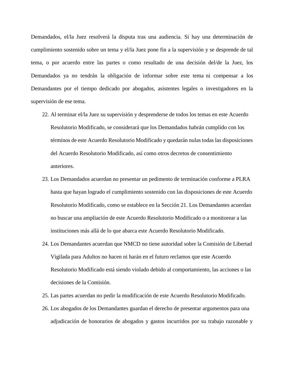Demandados, el/la Juez resolverá la disputa tras una audiencia. Si hay una determinación de cumplimiento sostenido sobre un tema y el/la Juez pone fin a la supervisión y se desprende de tal tema, o por acuerdo entre las partes o como resultado de una decisión del/de la Juez, los Demandados ya no tendrán la obligación de informar sobre este tema ni compensar a los Demandantes por el tiempo dedicado por abogados, asistentes legales o investigadores en la supervisión de ese tema.

- 22. Al terminar el/la Juez su supervisión y desprenderse de todos los temas en este Acuerdo Resolutorio Modificado, se considerará que los Demandados habrán cumplido con los términos de este Acuerdo Resolutorio Modificado y quedarán nulas todas las disposiciones del Acuerdo Resolutorio Modificado, así como otros decretos de consentimiento anteriores.
- 23. Los Demandados acuerdan no presentar un pedimento de terminación conforme a PLRA hasta que hayan logrado el cumplimiento sostenido con las disposiciones de este Acuerdo Resolutorio Modificado, como se establece en la Sección 21. Los Demandantes acuerdan no buscar una ampliación de este Acuerdo Resolutorio Modificado o a monitorear a las instituciones más allá de lo que abarca este Acuerdo Resolutorio Modificado.
- 24. Los Demandantes acuerdan que NMCD no tiene autoridad sobre la Comisión de Libertad Vigilada para Adultos no hacen ni harán en el futuro reclamos que este Acuerdo Resolutorio Modificado está siendo violado debido al comportamiento, las acciones o las decisiones de la Comisión.
- 25. Las partes acuerdan no pedir la modificación de este Acuerdo Resolutorio Modificado.
- 26. Los abogados de los Demandantes guardan el derecho de presentar argumentos para una adjudicación de honorarios de abogados y gastos incurridos por su trabajo razonable y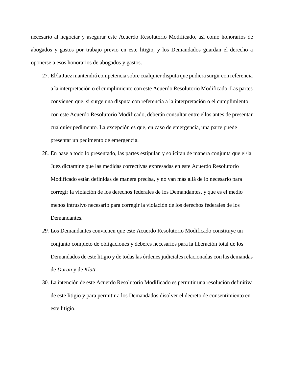necesario al negociar y asegurar este Acuerdo Resolutorio Modificado, así como honorarios de abogados y gastos por trabajo previo en este litigio, y los Demandados guardan el derecho a oponerse a esos honorarios de abogados y gastos.

- 27. El/la Juez mantendrá competencia sobre cualquier disputa que pudiera surgir con referencia a la interpretación o el cumplimiento con este Acuerdo Resolutorio Modificado. Las partes convienen que, si surge una disputa con referencia a la interpretación o el cumplimiento con este Acuerdo Resolutorio Modificado, deberán consultar entre ellos antes de presentar cualquier pedimento. La excepción es que, en caso de emergencia, una parte puede presentar un pedimento de emergencia.
- 28. En base a todo lo presentado, las partes estipulan y solicitan de manera conjunta que el/la Juez dictamine que las medidas correctivas expresadas en este Acuerdo Resolutorio Modificado están definidas de manera precisa, y no van más allá de lo necesario para corregir la violación de los derechos federales de los Demandantes, y que es el medio menos intrusivo necesario para corregir la violación de los derechos federales de los Demandantes.
- *29.* Los Demandantes convienen que este Acuerdo Resolutorio Modificado constituye un conjunto completo de obligaciones y deberes necesarios para la liberación total de los Demandados de este litigio y de todas las órdenes judiciales relacionadas con las demandas de *Duran* y de *Klatt.*
- 30. La intención de este Acuerdo Resolutorio Modificado es permitir una resolución definitiva de este litigio y para permitir a los Demandados disolver el decreto de consentimiento en este litigio.